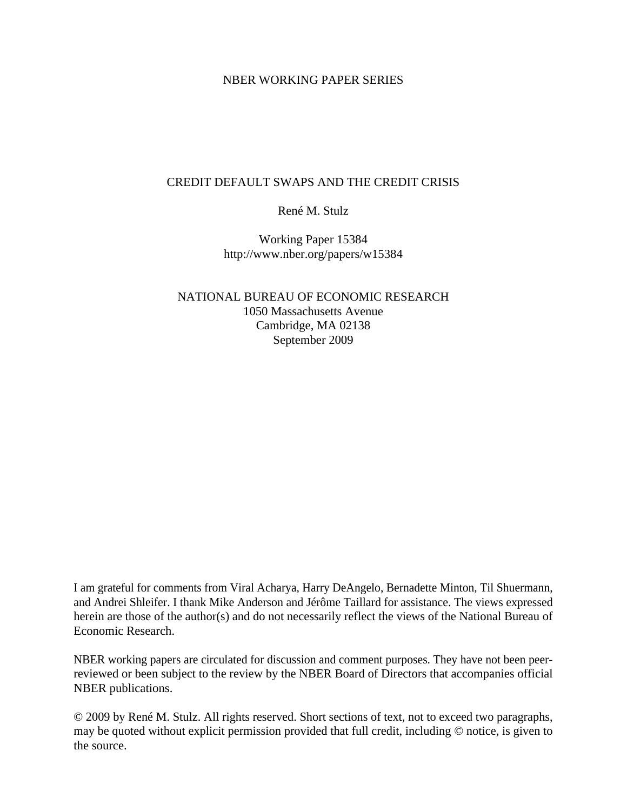# NBER WORKING PAPER SERIES

# CREDIT DEFAULT SWAPS AND THE CREDIT CRISIS

# René M. Stulz

Working Paper 15384 http://www.nber.org/papers/w15384

NATIONAL BUREAU OF ECONOMIC RESEARCH 1050 Massachusetts Avenue Cambridge, MA 02138 September 2009

I am grateful for comments from Viral Acharya, Harry DeAngelo, Bernadette Minton, Til Shuermann, and Andrei Shleifer. I thank Mike Anderson and Jérôme Taillard for assistance. The views expressed herein are those of the author(s) and do not necessarily reflect the views of the National Bureau of Economic Research.

NBER working papers are circulated for discussion and comment purposes. They have not been peerreviewed or been subject to the review by the NBER Board of Directors that accompanies official NBER publications.

© 2009 by René M. Stulz. All rights reserved. Short sections of text, not to exceed two paragraphs, may be quoted without explicit permission provided that full credit, including © notice, is given to the source.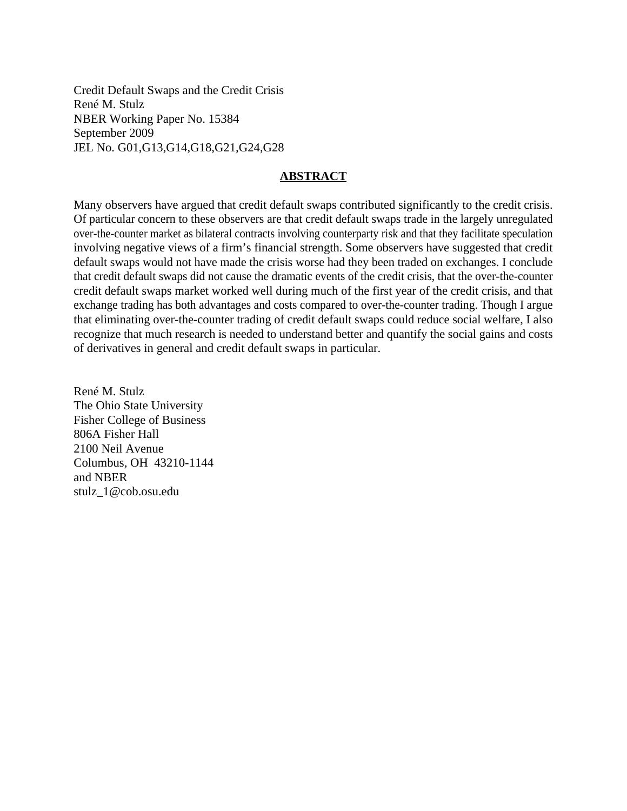Credit Default Swaps and the Credit Crisis René M. Stulz NBER Working Paper No. 15384 September 2009 JEL No. G01,G13,G14,G18,G21,G24,G28

## **ABSTRACT**

Many observers have argued that credit default swaps contributed significantly to the credit crisis. Of particular concern to these observers are that credit default swaps trade in the largely unregulated over-the-counter market as bilateral contracts involving counterparty risk and that they facilitate speculation involving negative views of a firm's financial strength. Some observers have suggested that credit default swaps would not have made the crisis worse had they been traded on exchanges. I conclude that credit default swaps did not cause the dramatic events of the credit crisis, that the over-the-counter credit default swaps market worked well during much of the first year of the credit crisis, and that exchange trading has both advantages and costs compared to over-the-counter trading. Though I argue that eliminating over-the-counter trading of credit default swaps could reduce social welfare, I also recognize that much research is needed to understand better and quantify the social gains and costs of derivatives in general and credit default swaps in particular.

René M. Stulz The Ohio State University Fisher College of Business 806A Fisher Hall 2100 Neil Avenue Columbus, OH 43210-1144 and NBER stulz\_1@cob.osu.edu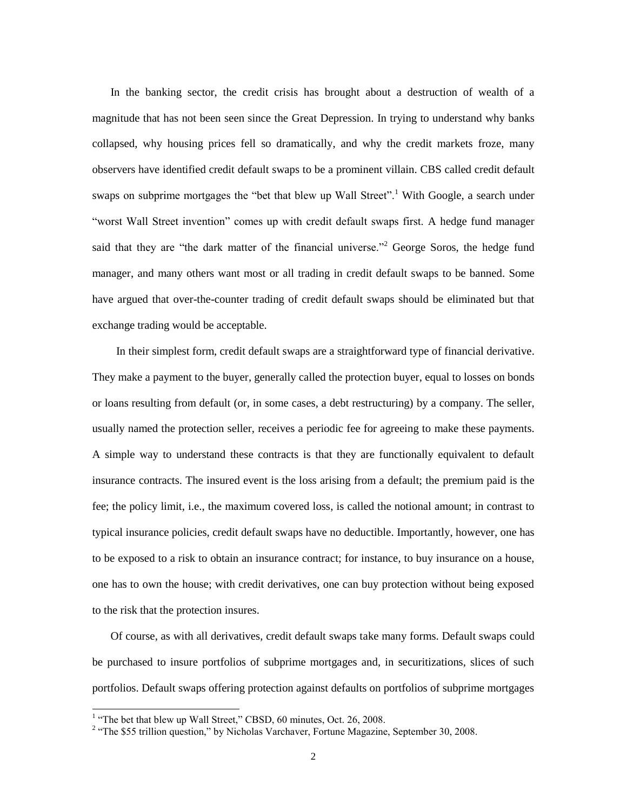In the banking sector, the credit crisis has brought about a destruction of wealth of a magnitude that has not been seen since the Great Depression. In trying to understand why banks collapsed, why housing prices fell so dramatically, and why the credit markets froze, many observers have identified credit default swaps to be a prominent villain. CBS called credit default swaps on subprime mortgages the "bet that blew up Wall Street".<sup>1</sup> With Google, a search under "worst Wall Street invention" comes up with credit default swaps first. A hedge fund manager said that they are "the dark matter of the financial universe."<sup>2</sup> George Soros, the hedge fund manager, and many others want most or all trading in credit default swaps to be banned. Some have argued that over-the-counter trading of credit default swaps should be eliminated but that exchange trading would be acceptable.

In their simplest form, credit default swaps are a straightforward type of financial derivative. They make a payment to the buyer, generally called the protection buyer, equal to losses on bonds or loans resulting from default (or, in some cases, a debt restructuring) by a company. The seller, usually named the protection seller, receives a periodic fee for agreeing to make these payments. A simple way to understand these contracts is that they are functionally equivalent to default insurance contracts. The insured event is the loss arising from a default; the premium paid is the fee; the policy limit, i.e., the maximum covered loss, is called the notional amount; in contrast to typical insurance policies, credit default swaps have no deductible. Importantly, however, one has to be exposed to a risk to obtain an insurance contract; for instance, to buy insurance on a house, one has to own the house; with credit derivatives, one can buy protection without being exposed to the risk that the protection insures.

Of course, as with all derivatives, credit default swaps take many forms. Default swaps could be purchased to insure portfolios of subprime mortgages and, in securitizations, slices of such portfolios. Default swaps offering protection against defaults on portfolios of subprime mortgages

<sup>&</sup>lt;sup>1</sup> "The bet that blew up Wall Street," CBSD, 60 minutes, Oct. 26, 2008.

<sup>&</sup>lt;sup>2</sup> "The \$55 trillion question," by Nicholas Varchaver, Fortune Magazine, September 30, 2008.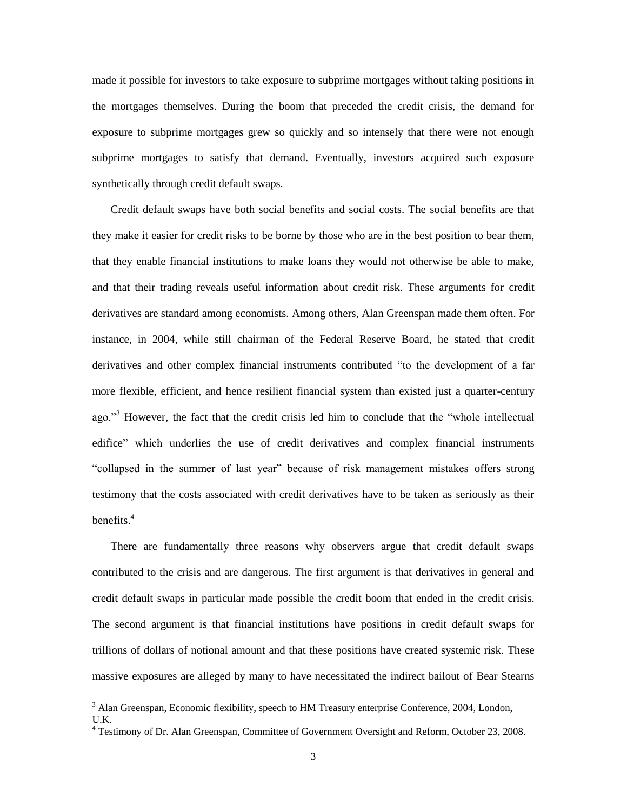made it possible for investors to take exposure to subprime mortgages without taking positions in the mortgages themselves. During the boom that preceded the credit crisis, the demand for exposure to subprime mortgages grew so quickly and so intensely that there were not enough subprime mortgages to satisfy that demand. Eventually, investors acquired such exposure synthetically through credit default swaps.

Credit default swaps have both social benefits and social costs. The social benefits are that they make it easier for credit risks to be borne by those who are in the best position to bear them, that they enable financial institutions to make loans they would not otherwise be able to make, and that their trading reveals useful information about credit risk. These arguments for credit derivatives are standard among economists. Among others, Alan Greenspan made them often. For instance, in 2004, while still chairman of the Federal Reserve Board, he stated that credit derivatives and other complex financial instruments contributed "to the development of a far more flexible, efficient, and hence resilient financial system than existed just a quarter-century ago."<sup>3</sup> However, the fact that the credit crisis led him to conclude that the "whole intellectual edifice" which underlies the use of credit derivatives and complex financial instruments "collapsed in the summer of last year" because of risk management mistakes offers strong testimony that the costs associated with credit derivatives have to be taken as seriously as their benefits.<sup>4</sup>

There are fundamentally three reasons why observers argue that credit default swaps contributed to the crisis and are dangerous. The first argument is that derivatives in general and credit default swaps in particular made possible the credit boom that ended in the credit crisis. The second argument is that financial institutions have positions in credit default swaps for trillions of dollars of notional amount and that these positions have created systemic risk. These massive exposures are alleged by many to have necessitated the indirect bailout of Bear Stearns

 $3$  Alan Greenspan, Economic flexibility, speech to HM Treasury enterprise Conference, 2004, London, U.K.

<sup>&</sup>lt;sup>4</sup> Testimony of Dr. Alan Greenspan, Committee of Government Oversight and Reform, October 23, 2008.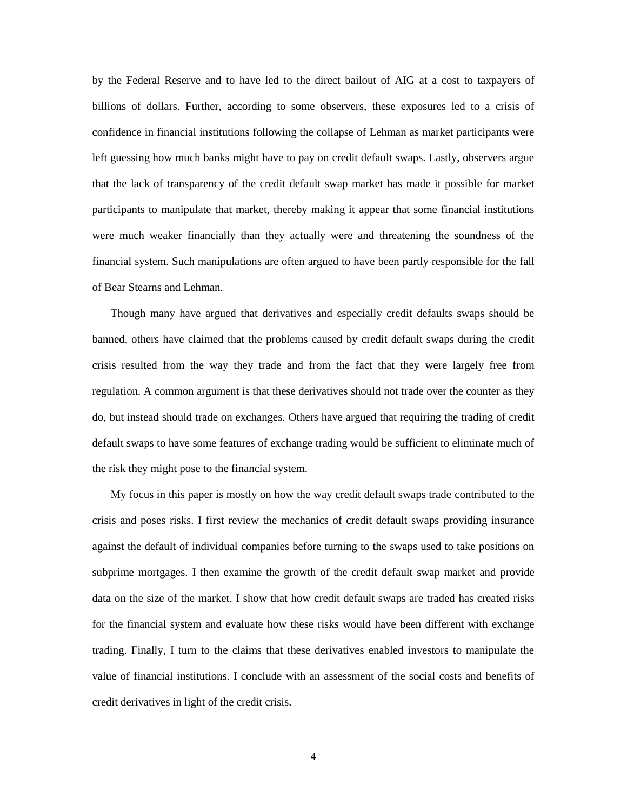by the Federal Reserve and to have led to the direct bailout of AIG at a cost to taxpayers of billions of dollars. Further, according to some observers, these exposures led to a crisis of confidence in financial institutions following the collapse of Lehman as market participants were left guessing how much banks might have to pay on credit default swaps. Lastly, observers argue that the lack of transparency of the credit default swap market has made it possible for market participants to manipulate that market, thereby making it appear that some financial institutions were much weaker financially than they actually were and threatening the soundness of the financial system. Such manipulations are often argued to have been partly responsible for the fall of Bear Stearns and Lehman.

Though many have argued that derivatives and especially credit defaults swaps should be banned, others have claimed that the problems caused by credit default swaps during the credit crisis resulted from the way they trade and from the fact that they were largely free from regulation. A common argument is that these derivatives should not trade over the counter as they do, but instead should trade on exchanges. Others have argued that requiring the trading of credit default swaps to have some features of exchange trading would be sufficient to eliminate much of the risk they might pose to the financial system.

My focus in this paper is mostly on how the way credit default swaps trade contributed to the crisis and poses risks. I first review the mechanics of credit default swaps providing insurance against the default of individual companies before turning to the swaps used to take positions on subprime mortgages. I then examine the growth of the credit default swap market and provide data on the size of the market. I show that how credit default swaps are traded has created risks for the financial system and evaluate how these risks would have been different with exchange trading. Finally, I turn to the claims that these derivatives enabled investors to manipulate the value of financial institutions. I conclude with an assessment of the social costs and benefits of credit derivatives in light of the credit crisis.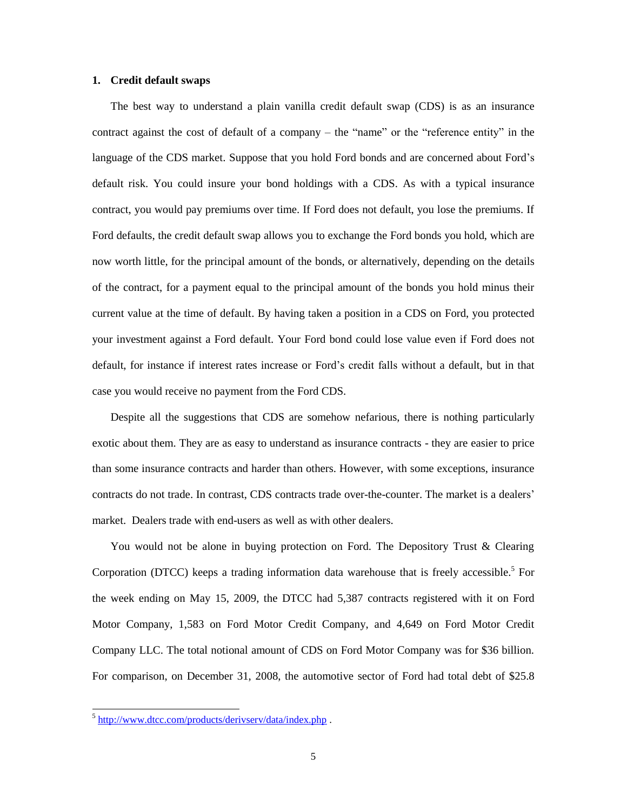#### **1. Credit default swaps**

The best way to understand a plain vanilla credit default swap (CDS) is as an insurance contract against the cost of default of a company – the "name" or the "reference entity" in the language of the CDS market. Suppose that you hold Ford bonds and are concerned about Ford's default risk. You could insure your bond holdings with a CDS. As with a typical insurance contract, you would pay premiums over time. If Ford does not default, you lose the premiums. If Ford defaults, the credit default swap allows you to exchange the Ford bonds you hold, which are now worth little, for the principal amount of the bonds, or alternatively, depending on the details of the contract, for a payment equal to the principal amount of the bonds you hold minus their current value at the time of default. By having taken a position in a CDS on Ford, you protected your investment against a Ford default. Your Ford bond could lose value even if Ford does not default, for instance if interest rates increase or Ford's credit falls without a default, but in that case you would receive no payment from the Ford CDS.

Despite all the suggestions that CDS are somehow nefarious, there is nothing particularly exotic about them. They are as easy to understand as insurance contracts - they are easier to price than some insurance contracts and harder than others. However, with some exceptions, insurance contracts do not trade. In contrast, CDS contracts trade over-the-counter. The market is a dealers' market. Dealers trade with end-users as well as with other dealers.

You would not be alone in buying protection on Ford. The Depository Trust & Clearing Corporation (DTCC) keeps a trading information data warehouse that is freely accessible.<sup>5</sup> For the week ending on May 15, 2009, the DTCC had 5,387 contracts registered with it on Ford Motor Company, 1,583 on Ford Motor Credit Company, and 4,649 on Ford Motor Credit Company LLC. The total notional amount of CDS on Ford Motor Company was for \$36 billion. For comparison, on December 31, 2008, the automotive sector of Ford had total debt of \$25.8

<sup>&</sup>lt;sup>5</sup> <http://www.dtcc.com/products/derivserv/data/index.php>.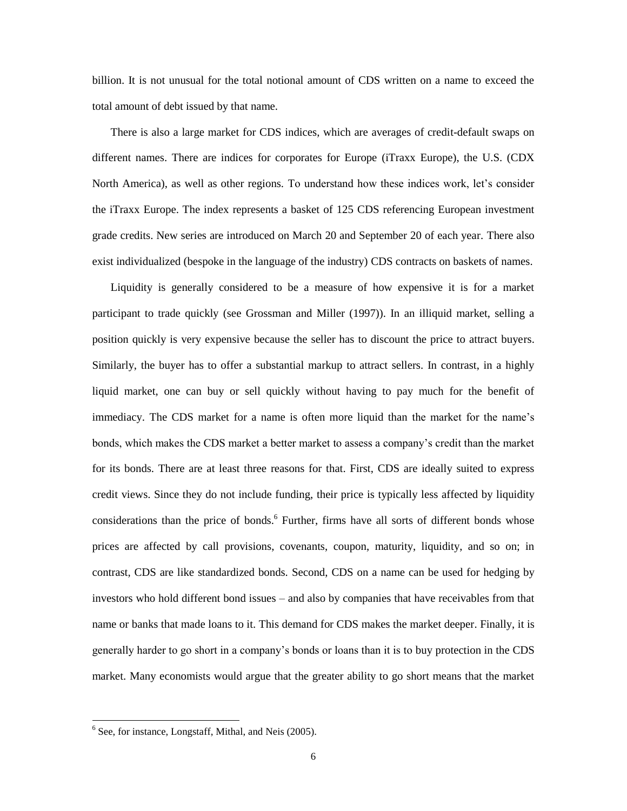billion. It is not unusual for the total notional amount of CDS written on a name to exceed the total amount of debt issued by that name.

There is also a large market for CDS indices, which are averages of credit-default swaps on different names. There are indices for corporates for Europe (iTraxx Europe), the U.S. (CDX North America), as well as other regions. To understand how these indices work, let's consider the iTraxx Europe. The index represents a basket of 125 CDS referencing European investment grade credits. New series are introduced on March 20 and September 20 of each year. There also exist individualized (bespoke in the language of the industry) CDS contracts on baskets of names.

Liquidity is generally considered to be a measure of how expensive it is for a market participant to trade quickly (see Grossman and Miller (1997)). In an illiquid market, selling a position quickly is very expensive because the seller has to discount the price to attract buyers. Similarly, the buyer has to offer a substantial markup to attract sellers. In contrast, in a highly liquid market, one can buy or sell quickly without having to pay much for the benefit of immediacy. The CDS market for a name is often more liquid than the market for the name's bonds, which makes the CDS market a better market to assess a company's credit than the market for its bonds. There are at least three reasons for that. First, CDS are ideally suited to express credit views. Since they do not include funding, their price is typically less affected by liquidity considerations than the price of bonds. 6 Further, firms have all sorts of different bonds whose prices are affected by call provisions, covenants, coupon, maturity, liquidity, and so on; in contrast, CDS are like standardized bonds. Second, CDS on a name can be used for hedging by investors who hold different bond issues – and also by companies that have receivables from that name or banks that made loans to it. This demand for CDS makes the market deeper. Finally, it is generally harder to go short in a company's bonds or loans than it is to buy protection in the CDS market. Many economists would argue that the greater ability to go short means that the market

 $6$  See, for instance, Longstaff, Mithal, and Neis (2005).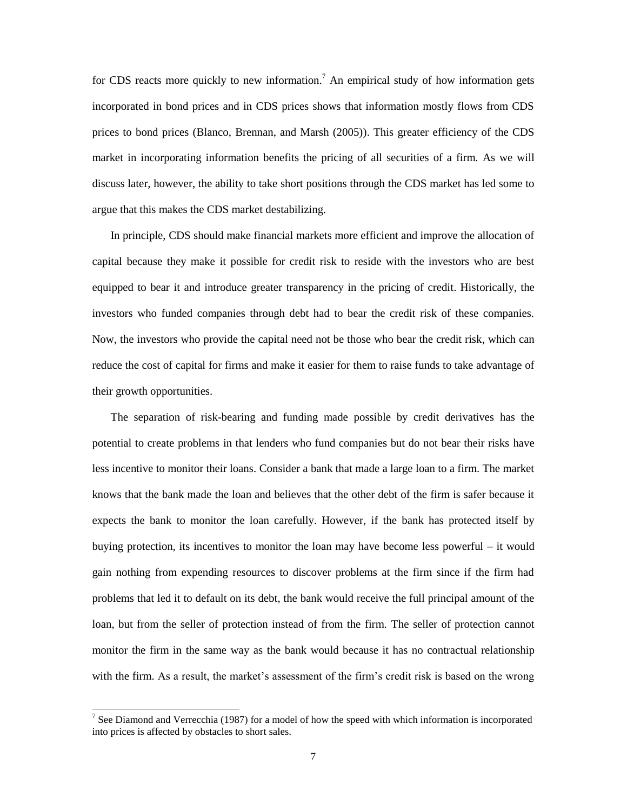for CDS reacts more quickly to new information.<sup>7</sup> An empirical study of how information gets incorporated in bond prices and in CDS prices shows that information mostly flows from CDS prices to bond prices (Blanco, Brennan, and Marsh (2005)). This greater efficiency of the CDS market in incorporating information benefits the pricing of all securities of a firm. As we will discuss later, however, the ability to take short positions through the CDS market has led some to argue that this makes the CDS market destabilizing.

In principle, CDS should make financial markets more efficient and improve the allocation of capital because they make it possible for credit risk to reside with the investors who are best equipped to bear it and introduce greater transparency in the pricing of credit. Historically, the investors who funded companies through debt had to bear the credit risk of these companies. Now, the investors who provide the capital need not be those who bear the credit risk, which can reduce the cost of capital for firms and make it easier for them to raise funds to take advantage of their growth opportunities.

The separation of risk-bearing and funding made possible by credit derivatives has the potential to create problems in that lenders who fund companies but do not bear their risks have less incentive to monitor their loans. Consider a bank that made a large loan to a firm. The market knows that the bank made the loan and believes that the other debt of the firm is safer because it expects the bank to monitor the loan carefully. However, if the bank has protected itself by buying protection, its incentives to monitor the loan may have become less powerful – it would gain nothing from expending resources to discover problems at the firm since if the firm had problems that led it to default on its debt, the bank would receive the full principal amount of the loan, but from the seller of protection instead of from the firm. The seller of protection cannot monitor the firm in the same way as the bank would because it has no contractual relationship with the firm. As a result, the market's assessment of the firm's credit risk is based on the wrong

 7 See Diamond and Verrecchia (1987) for a model of how the speed with which information is incorporated into prices is affected by obstacles to short sales.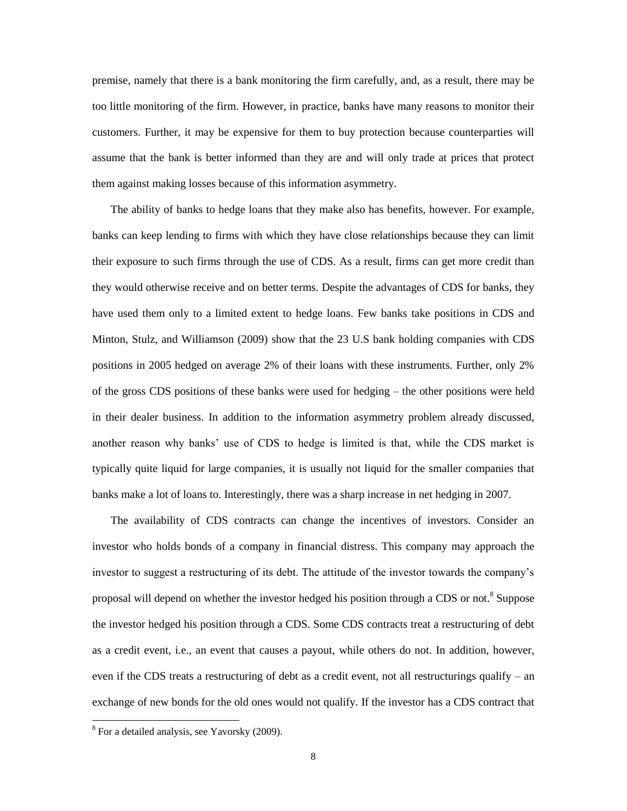premise, namely that there is a bank monitoring the firm carefully, and, as a result, there may be too little monitoring of the firm. However, in practice, banks have many reasons to monitor their customers. Further, it may be expensive for them to buy protection because counterparties will assume that the bank is better informed than they are and will only trade at prices that protect them against making losses because of this information asymmetry.

The ability of banks to hedge loans that they make also has benefits, however. For example, banks can keep lending to firms with which they have close relationships because they can limit their exposure to such firms through the use of CDS. As a result, firms can get more credit than they would otherwise receive and on better terms. Despite the advantages of CDS for banks, they have used them only to a limited extent to hedge loans. Few banks take positions in CDS and Minton, Stulz, and Williamson (2009) show that the 23 U.S bank holding companies with CDS positions in 2005 hedged on average 2% of their loans with these instruments. Further, only 2% of the gross CDS positions of these banks were used for hedging – the other positions were held in their dealer business. In addition to the information asymmetry problem already discussed, another reason why banks' use of CDS to hedge is limited is that, while the CDS market is typically quite liquid for large companies, it is usually not liquid for the smaller companies that banks make a lot of loans to. Interestingly, there was a sharp increase in net hedging in 2007.

The availability of CDS contracts can change the incentives of investors. Consider an investor who holds bonds of a company in financial distress. This company may approach the investor to suggest a restructuring of its debt. The attitude of the investor towards the company's proposal will depend on whether the investor hedged his position through a CDS or not.<sup>8</sup> Suppose the investor hedged his position through a CDS. Some CDS contracts treat a restructuring of debt as a credit event, i.e., an event that causes a payout, while others do not. In addition, however, even if the CDS treats a restructuring of debt as a credit event, not all restructurings qualify – an exchange of new bonds for the old ones would not qualify. If the investor has a CDS contract that

 $8$  For a detailed analysis, see Yavorsky (2009).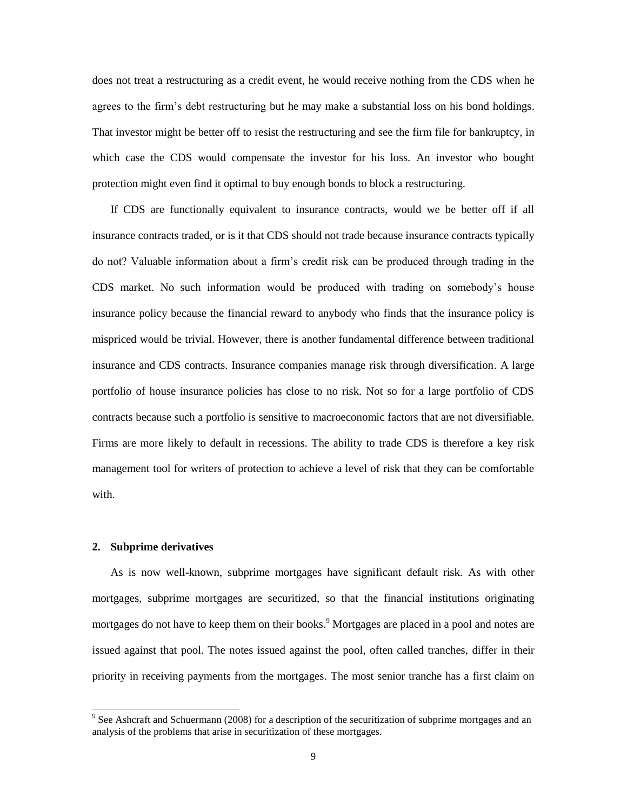does not treat a restructuring as a credit event, he would receive nothing from the CDS when he agrees to the firm's debt restructuring but he may make a substantial loss on his bond holdings. That investor might be better off to resist the restructuring and see the firm file for bankruptcy, in which case the CDS would compensate the investor for his loss. An investor who bought protection might even find it optimal to buy enough bonds to block a restructuring.

If CDS are functionally equivalent to insurance contracts, would we be better off if all insurance contracts traded, or is it that CDS should not trade because insurance contracts typically do not? Valuable information about a firm's credit risk can be produced through trading in the CDS market. No such information would be produced with trading on somebody's house insurance policy because the financial reward to anybody who finds that the insurance policy is mispriced would be trivial. However, there is another fundamental difference between traditional insurance and CDS contracts. Insurance companies manage risk through diversification. A large portfolio of house insurance policies has close to no risk. Not so for a large portfolio of CDS contracts because such a portfolio is sensitive to macroeconomic factors that are not diversifiable. Firms are more likely to default in recessions. The ability to trade CDS is therefore a key risk management tool for writers of protection to achieve a level of risk that they can be comfortable with.

## **2. Subprime derivatives**

As is now well-known, subprime mortgages have significant default risk. As with other mortgages, subprime mortgages are securitized, so that the financial institutions originating mortgages do not have to keep them on their books. <sup>9</sup> Mortgages are placed in a pool and notes are issued against that pool. The notes issued against the pool, often called tranches, differ in their priority in receiving payments from the mortgages. The most senior tranche has a first claim on

<sup>&</sup>lt;sup>9</sup> See Ashcraft and Schuermann (2008) for a description of the securitization of subprime mortgages and an analysis of the problems that arise in securitization of these mortgages.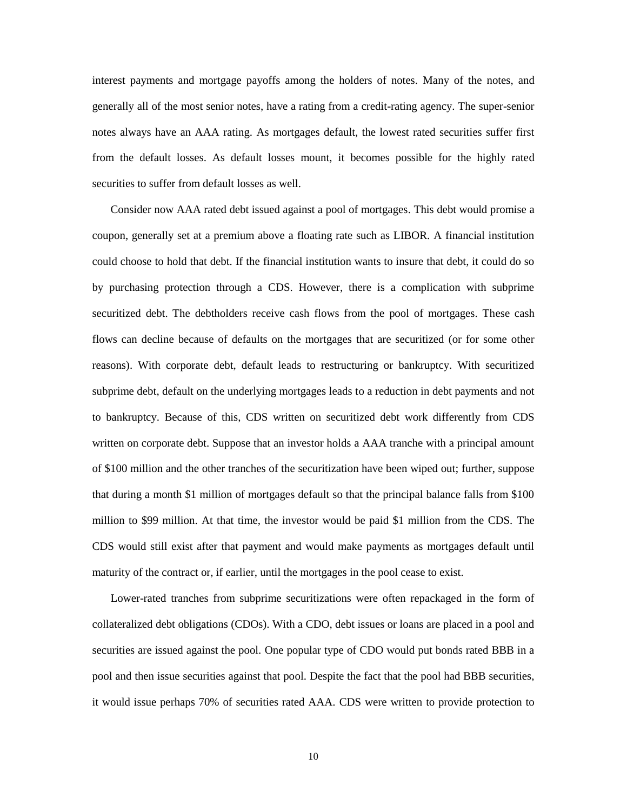interest payments and mortgage payoffs among the holders of notes. Many of the notes, and generally all of the most senior notes, have a rating from a credit-rating agency. The super-senior notes always have an AAA rating. As mortgages default, the lowest rated securities suffer first from the default losses. As default losses mount, it becomes possible for the highly rated securities to suffer from default losses as well.

Consider now AAA rated debt issued against a pool of mortgages. This debt would promise a coupon, generally set at a premium above a floating rate such as LIBOR. A financial institution could choose to hold that debt. If the financial institution wants to insure that debt, it could do so by purchasing protection through a CDS. However, there is a complication with subprime securitized debt. The debtholders receive cash flows from the pool of mortgages. These cash flows can decline because of defaults on the mortgages that are securitized (or for some other reasons). With corporate debt, default leads to restructuring or bankruptcy. With securitized subprime debt, default on the underlying mortgages leads to a reduction in debt payments and not to bankruptcy. Because of this, CDS written on securitized debt work differently from CDS written on corporate debt. Suppose that an investor holds a AAA tranche with a principal amount of \$100 million and the other tranches of the securitization have been wiped out; further, suppose that during a month \$1 million of mortgages default so that the principal balance falls from \$100 million to \$99 million. At that time, the investor would be paid \$1 million from the CDS. The CDS would still exist after that payment and would make payments as mortgages default until maturity of the contract or, if earlier, until the mortgages in the pool cease to exist.

Lower-rated tranches from subprime securitizations were often repackaged in the form of collateralized debt obligations (CDOs). With a CDO, debt issues or loans are placed in a pool and securities are issued against the pool. One popular type of CDO would put bonds rated BBB in a pool and then issue securities against that pool. Despite the fact that the pool had BBB securities, it would issue perhaps 70% of securities rated AAA. CDS were written to provide protection to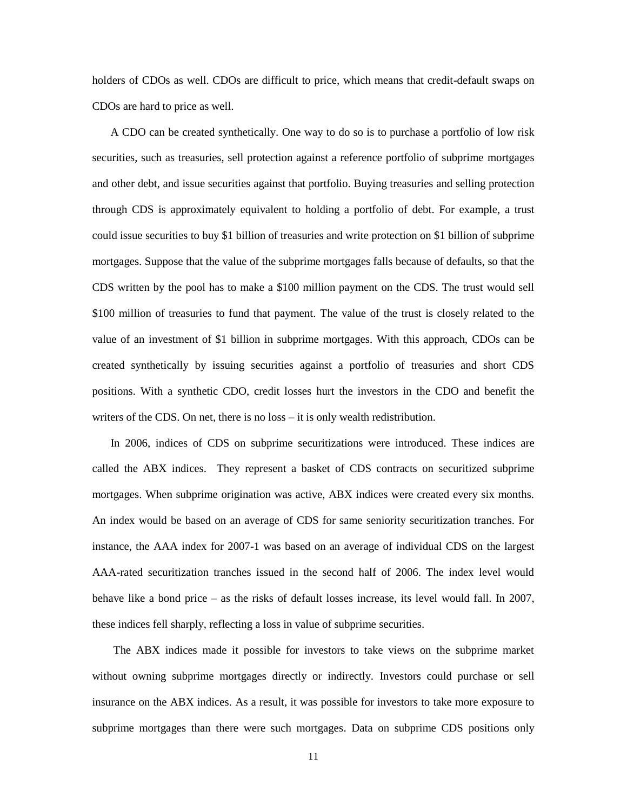holders of CDOs as well. CDOs are difficult to price, which means that credit-default swaps on CDOs are hard to price as well.

A CDO can be created synthetically. One way to do so is to purchase a portfolio of low risk securities, such as treasuries, sell protection against a reference portfolio of subprime mortgages and other debt, and issue securities against that portfolio. Buying treasuries and selling protection through CDS is approximately equivalent to holding a portfolio of debt. For example, a trust could issue securities to buy \$1 billion of treasuries and write protection on \$1 billion of subprime mortgages. Suppose that the value of the subprime mortgages falls because of defaults, so that the CDS written by the pool has to make a \$100 million payment on the CDS. The trust would sell \$100 million of treasuries to fund that payment. The value of the trust is closely related to the value of an investment of \$1 billion in subprime mortgages. With this approach, CDOs can be created synthetically by issuing securities against a portfolio of treasuries and short CDS positions. With a synthetic CDO, credit losses hurt the investors in the CDO and benefit the writers of the CDS. On net, there is no loss – it is only wealth redistribution.

In 2006, indices of CDS on subprime securitizations were introduced. These indices are called the ABX indices. They represent a basket of CDS contracts on securitized subprime mortgages. When subprime origination was active, ABX indices were created every six months. An index would be based on an average of CDS for same seniority securitization tranches. For instance, the AAA index for 2007-1 was based on an average of individual CDS on the largest AAA-rated securitization tranches issued in the second half of 2006. The index level would behave like a bond price – as the risks of default losses increase, its level would fall. In 2007, these indices fell sharply, reflecting a loss in value of subprime securities.

The ABX indices made it possible for investors to take views on the subprime market without owning subprime mortgages directly or indirectly. Investors could purchase or sell insurance on the ABX indices. As a result, it was possible for investors to take more exposure to subprime mortgages than there were such mortgages. Data on subprime CDS positions only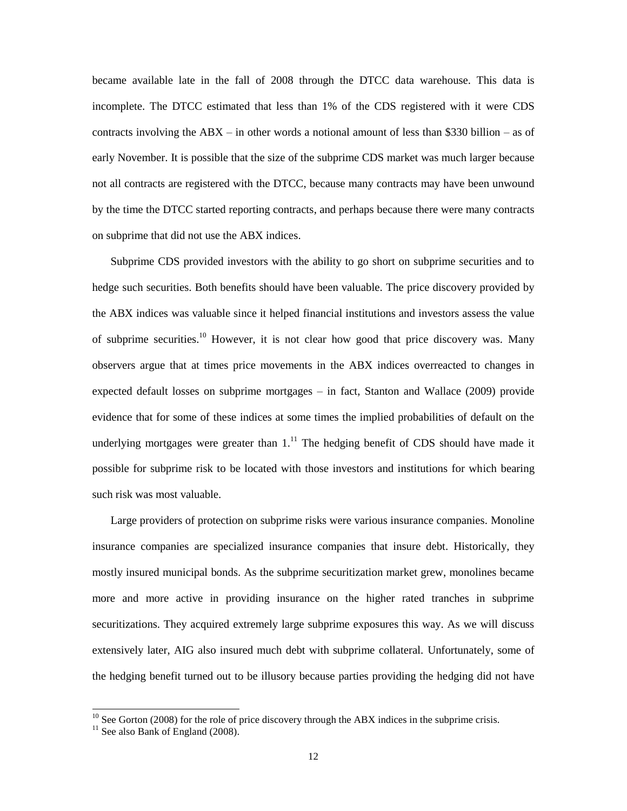became available late in the fall of 2008 through the DTCC data warehouse. This data is incomplete. The DTCC estimated that less than 1% of the CDS registered with it were CDS contracts involving the  $ABX$  – in other words a notional amount of less than \$330 billion – as of early November. It is possible that the size of the subprime CDS market was much larger because not all contracts are registered with the DTCC, because many contracts may have been unwound by the time the DTCC started reporting contracts, and perhaps because there were many contracts on subprime that did not use the ABX indices.

Subprime CDS provided investors with the ability to go short on subprime securities and to hedge such securities. Both benefits should have been valuable. The price discovery provided by the ABX indices was valuable since it helped financial institutions and investors assess the value of subprime securities.<sup>10</sup> However, it is not clear how good that price discovery was. Many observers argue that at times price movements in the ABX indices overreacted to changes in expected default losses on subprime mortgages – in fact, Stanton and Wallace (2009) provide evidence that for some of these indices at some times the implied probabilities of default on the underlying mortgages were greater than  $1<sup>11</sup>$ . The hedging benefit of CDS should have made it possible for subprime risk to be located with those investors and institutions for which bearing such risk was most valuable.

Large providers of protection on subprime risks were various insurance companies. Monoline insurance companies are specialized insurance companies that insure debt. Historically, they mostly insured municipal bonds. As the subprime securitization market grew, monolines became more and more active in providing insurance on the higher rated tranches in subprime securitizations. They acquired extremely large subprime exposures this way. As we will discuss extensively later, AIG also insured much debt with subprime collateral. Unfortunately, some of the hedging benefit turned out to be illusory because parties providing the hedging did not have

 $\overline{a}$ 

 $10$  See Gorton (2008) for the role of price discovery through the ABX indices in the subprime crisis.

 $11$  See also Bank of England (2008).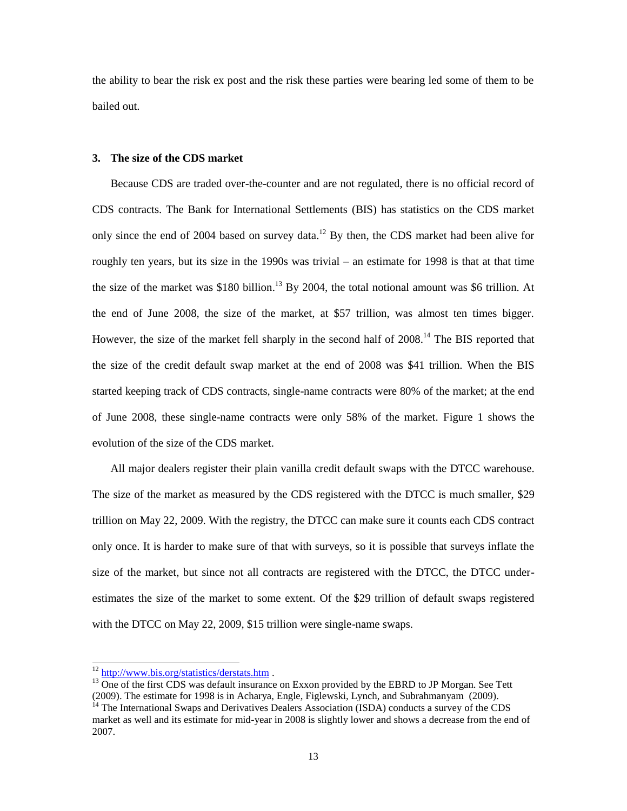the ability to bear the risk ex post and the risk these parties were bearing led some of them to be bailed out.

## **3. The size of the CDS market**

Because CDS are traded over-the-counter and are not regulated, there is no official record of CDS contracts. The Bank for International Settlements (BIS) has statistics on the CDS market only since the end of 2004 based on survey data.<sup>12</sup> By then, the CDS market had been alive for roughly ten years, but its size in the 1990s was trivial – an estimate for 1998 is that at that time the size of the market was \$180 billion.<sup>13</sup> By 2004, the total notional amount was \$6 trillion. At the end of June 2008, the size of the market, at \$57 trillion, was almost ten times bigger. However, the size of the market fell sharply in the second half of 2008.<sup>14</sup> The BIS reported that the size of the credit default swap market at the end of 2008 was \$41 trillion. When the BIS started keeping track of CDS contracts, single-name contracts were 80% of the market; at the end of June 2008, these single-name contracts were only 58% of the market. Figure 1 shows the evolution of the size of the CDS market.

All major dealers register their plain vanilla credit default swaps with the DTCC warehouse. The size of the market as measured by the CDS registered with the DTCC is much smaller, \$29 trillion on May 22, 2009. With the registry, the DTCC can make sure it counts each CDS contract only once. It is harder to make sure of that with surveys, so it is possible that surveys inflate the size of the market, but since not all contracts are registered with the DTCC, the DTCC underestimates the size of the market to some extent. Of the \$29 trillion of default swaps registered with the DTCC on May 22, 2009, \$15 trillion were single-name swaps.

 $\overline{a}$ 

<sup>&</sup>lt;sup>12</sup> <http://www.bis.org/statistics/derstats.htm>.

<sup>&</sup>lt;sup>13</sup> One of the first CDS was default insurance on Exxon provided by the EBRD to JP Morgan. See Tett (2009). The estimate for 1998 is in Acharya, Engle, Figlewski, Lynch, and Subrahmanyam (2009).

<sup>&</sup>lt;sup>14</sup> The International Swaps and Derivatives Dealers Association (ISDA) conducts a survey of the CDS market as well and its estimate for mid-year in 2008 is slightly lower and shows a decrease from the end of 2007.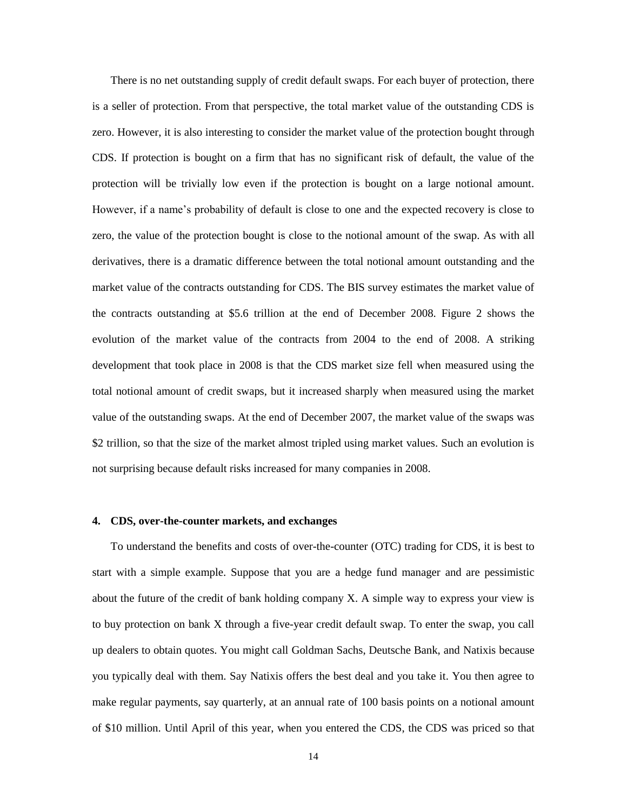There is no net outstanding supply of credit default swaps. For each buyer of protection, there is a seller of protection. From that perspective, the total market value of the outstanding CDS is zero. However, it is also interesting to consider the market value of the protection bought through CDS. If protection is bought on a firm that has no significant risk of default, the value of the protection will be trivially low even if the protection is bought on a large notional amount. However, if a name's probability of default is close to one and the expected recovery is close to zero, the value of the protection bought is close to the notional amount of the swap. As with all derivatives, there is a dramatic difference between the total notional amount outstanding and the market value of the contracts outstanding for CDS. The BIS survey estimates the market value of the contracts outstanding at \$5.6 trillion at the end of December 2008. Figure 2 shows the evolution of the market value of the contracts from 2004 to the end of 2008. A striking development that took place in 2008 is that the CDS market size fell when measured using the total notional amount of credit swaps, but it increased sharply when measured using the market value of the outstanding swaps. At the end of December 2007, the market value of the swaps was \$2 trillion, so that the size of the market almost tripled using market values. Such an evolution is not surprising because default risks increased for many companies in 2008.

#### **4. CDS, over-the-counter markets, and exchanges**

To understand the benefits and costs of over-the-counter (OTC) trading for CDS, it is best to start with a simple example. Suppose that you are a hedge fund manager and are pessimistic about the future of the credit of bank holding company X. A simple way to express your view is to buy protection on bank X through a five-year credit default swap. To enter the swap, you call up dealers to obtain quotes. You might call Goldman Sachs, Deutsche Bank, and Natixis because you typically deal with them. Say Natixis offers the best deal and you take it. You then agree to make regular payments, say quarterly, at an annual rate of 100 basis points on a notional amount of \$10 million. Until April of this year, when you entered the CDS, the CDS was priced so that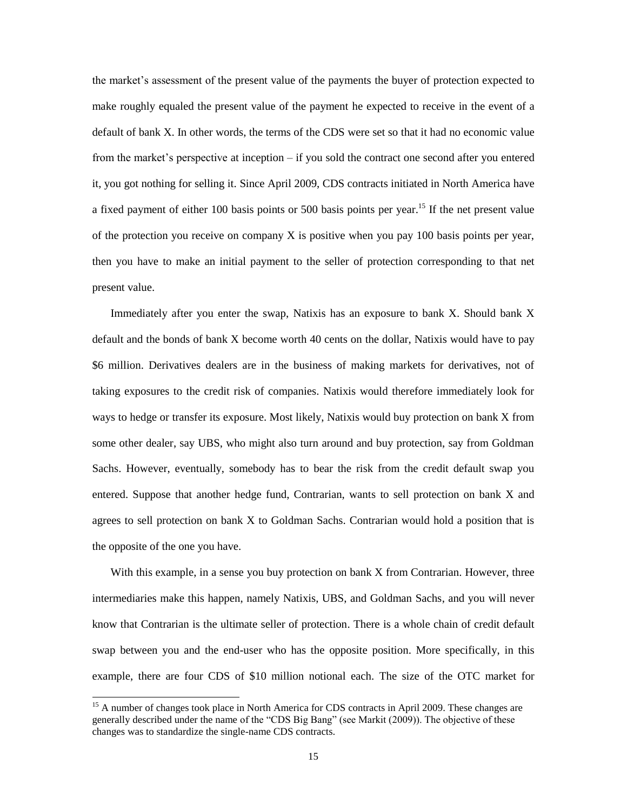the market's assessment of the present value of the payments the buyer of protection expected to make roughly equaled the present value of the payment he expected to receive in the event of a default of bank X. In other words, the terms of the CDS were set so that it had no economic value from the market's perspective at inception – if you sold the contract one second after you entered it, you got nothing for selling it. Since April 2009, CDS contracts initiated in North America have a fixed payment of either 100 basis points or 500 basis points per year.<sup>15</sup> If the net present value of the protection you receive on company  $X$  is positive when you pay 100 basis points per year, then you have to make an initial payment to the seller of protection corresponding to that net present value.

Immediately after you enter the swap, Natixis has an exposure to bank X. Should bank X default and the bonds of bank X become worth 40 cents on the dollar, Natixis would have to pay \$6 million. Derivatives dealers are in the business of making markets for derivatives, not of taking exposures to the credit risk of companies. Natixis would therefore immediately look for ways to hedge or transfer its exposure. Most likely, Natixis would buy protection on bank X from some other dealer, say UBS, who might also turn around and buy protection, say from Goldman Sachs. However, eventually, somebody has to bear the risk from the credit default swap you entered. Suppose that another hedge fund, Contrarian, wants to sell protection on bank X and agrees to sell protection on bank X to Goldman Sachs. Contrarian would hold a position that is the opposite of the one you have.

With this example, in a sense you buy protection on bank X from Contrarian. However, three intermediaries make this happen, namely Natixis, UBS, and Goldman Sachs, and you will never know that Contrarian is the ultimate seller of protection. There is a whole chain of credit default swap between you and the end-user who has the opposite position. More specifically, in this example, there are four CDS of \$10 million notional each. The size of the OTC market for

<sup>&</sup>lt;sup>15</sup> A number of changes took place in North America for CDS contracts in April 2009. These changes are generally described under the name of the "CDS Big Bang" (see Markit (2009)). The objective of these changes was to standardize the single-name CDS contracts.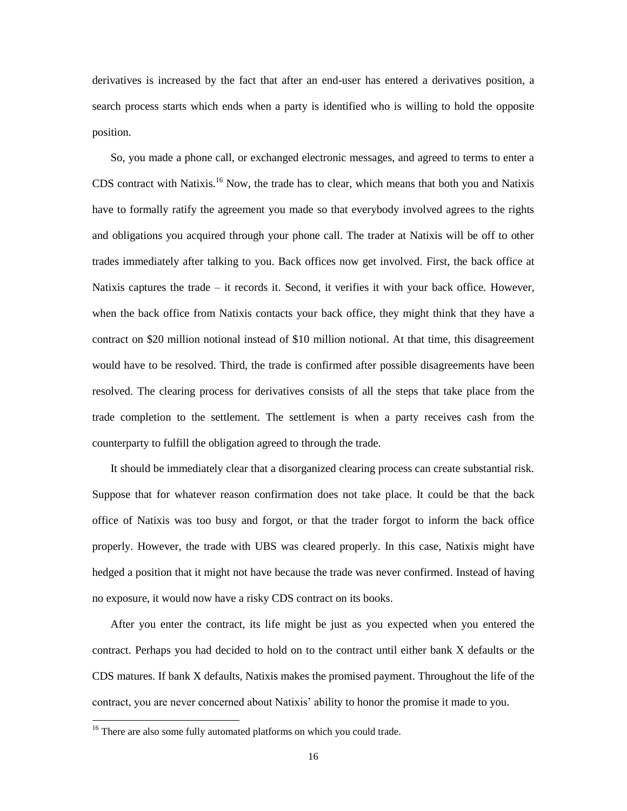derivatives is increased by the fact that after an end-user has entered a derivatives position, a search process starts which ends when a party is identified who is willing to hold the opposite position.

So, you made a phone call, or exchanged electronic messages, and agreed to terms to enter a CDS contract with Natixis.<sup>16</sup> Now, the trade has to clear, which means that both you and Natixis have to formally ratify the agreement you made so that everybody involved agrees to the rights and obligations you acquired through your phone call. The trader at Natixis will be off to other trades immediately after talking to you. Back offices now get involved. First, the back office at Natixis captures the trade – it records it. Second, it verifies it with your back office. However, when the back office from Natixis contacts your back office, they might think that they have a contract on \$20 million notional instead of \$10 million notional. At that time, this disagreement would have to be resolved. Third, the trade is confirmed after possible disagreements have been resolved. The clearing process for derivatives consists of all the steps that take place from the trade completion to the settlement. The settlement is when a party receives cash from the counterparty to fulfill the obligation agreed to through the trade.

It should be immediately clear that a disorganized clearing process can create substantial risk. Suppose that for whatever reason confirmation does not take place. It could be that the back office of Natixis was too busy and forgot, or that the trader forgot to inform the back office properly. However, the trade with UBS was cleared properly. In this case, Natixis might have hedged a position that it might not have because the trade was never confirmed. Instead of having no exposure, it would now have a risky CDS contract on its books.

After you enter the contract, its life might be just as you expected when you entered the contract. Perhaps you had decided to hold on to the contract until either bank X defaults or the CDS matures. If bank X defaults, Natixis makes the promised payment. Throughout the life of the contract, you are never concerned about Natixis' ability to honor the promise it made to you.

<sup>&</sup>lt;sup>16</sup> There are also some fully automated platforms on which you could trade.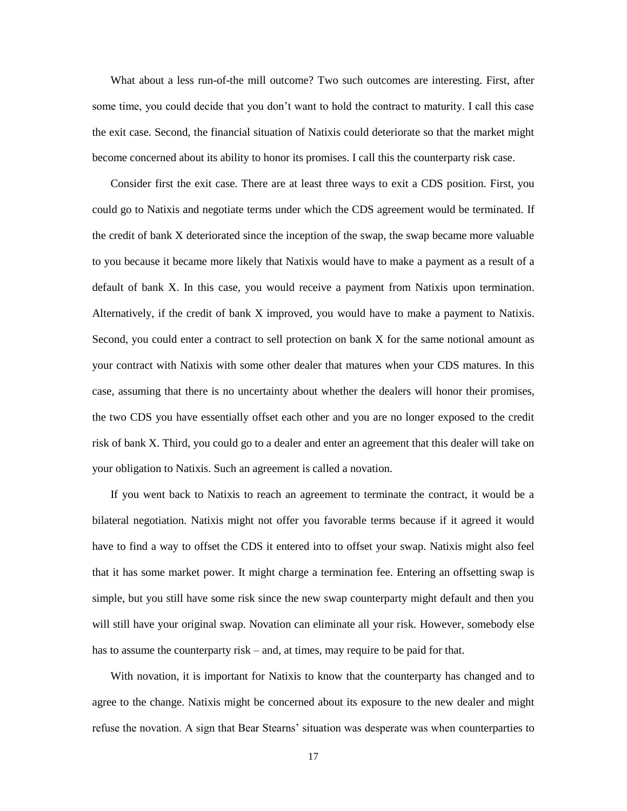What about a less run-of-the mill outcome? Two such outcomes are interesting. First, after some time, you could decide that you don't want to hold the contract to maturity. I call this case the exit case. Second, the financial situation of Natixis could deteriorate so that the market might become concerned about its ability to honor its promises. I call this the counterparty risk case.

Consider first the exit case. There are at least three ways to exit a CDS position. First, you could go to Natixis and negotiate terms under which the CDS agreement would be terminated. If the credit of bank X deteriorated since the inception of the swap, the swap became more valuable to you because it became more likely that Natixis would have to make a payment as a result of a default of bank X. In this case, you would receive a payment from Natixis upon termination. Alternatively, if the credit of bank X improved, you would have to make a payment to Natixis. Second, you could enter a contract to sell protection on bank X for the same notional amount as your contract with Natixis with some other dealer that matures when your CDS matures. In this case, assuming that there is no uncertainty about whether the dealers will honor their promises, the two CDS you have essentially offset each other and you are no longer exposed to the credit risk of bank X. Third, you could go to a dealer and enter an agreement that this dealer will take on your obligation to Natixis. Such an agreement is called a novation.

If you went back to Natixis to reach an agreement to terminate the contract, it would be a bilateral negotiation. Natixis might not offer you favorable terms because if it agreed it would have to find a way to offset the CDS it entered into to offset your swap. Natixis might also feel that it has some market power. It might charge a termination fee. Entering an offsetting swap is simple, but you still have some risk since the new swap counterparty might default and then you will still have your original swap. Novation can eliminate all your risk. However, somebody else has to assume the counterparty risk – and, at times, may require to be paid for that.

With novation, it is important for Natixis to know that the counterparty has changed and to agree to the change. Natixis might be concerned about its exposure to the new dealer and might refuse the novation. A sign that Bear Stearns' situation was desperate was when counterparties to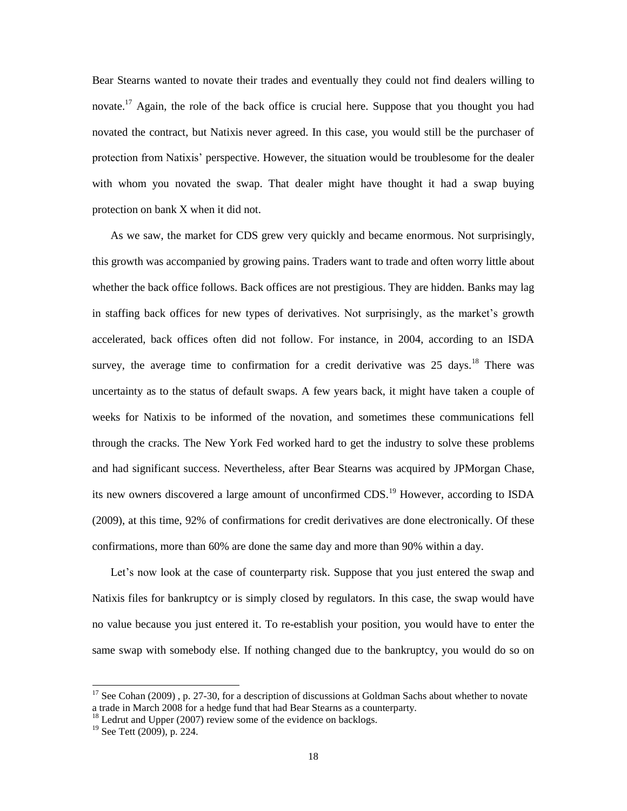Bear Stearns wanted to novate their trades and eventually they could not find dealers willing to novate.<sup>17</sup> Again, the role of the back office is crucial here. Suppose that you thought you had novated the contract, but Natixis never agreed. In this case, you would still be the purchaser of protection from Natixis' perspective. However, the situation would be troublesome for the dealer with whom you novated the swap. That dealer might have thought it had a swap buying protection on bank X when it did not.

As we saw, the market for CDS grew very quickly and became enormous. Not surprisingly, this growth was accompanied by growing pains. Traders want to trade and often worry little about whether the back office follows. Back offices are not prestigious. They are hidden. Banks may lag in staffing back offices for new types of derivatives. Not surprisingly, as the market's growth accelerated, back offices often did not follow. For instance, in 2004, according to an ISDA survey, the average time to confirmation for a credit derivative was 25 days.<sup>18</sup> There was uncertainty as to the status of default swaps. A few years back, it might have taken a couple of weeks for Natixis to be informed of the novation, and sometimes these communications fell through the cracks. The New York Fed worked hard to get the industry to solve these problems and had significant success. Nevertheless, after Bear Stearns was acquired by JPMorgan Chase, its new owners discovered a large amount of unconfirmed CDS.<sup>19</sup> However, according to ISDA (2009), at this time, 92% of confirmations for credit derivatives are done electronically. Of these confirmations, more than 60% are done the same day and more than 90% within a day.

Let's now look at the case of counterparty risk. Suppose that you just entered the swap and Natixis files for bankruptcy or is simply closed by regulators. In this case, the swap would have no value because you just entered it. To re-establish your position, you would have to enter the same swap with somebody else. If nothing changed due to the bankruptcy, you would do so on

 $\overline{a}$ 

 $17$  See Cohan (2009), p. 27-30, for a description of discussions at Goldman Sachs about whether to novate a trade in March 2008 for a hedge fund that had Bear Stearns as a counterparty.

 $^{18}$  Ledrut and Upper (2007) review some of the evidence on backlogs.

 $19$  See Tett (2009), p. 224.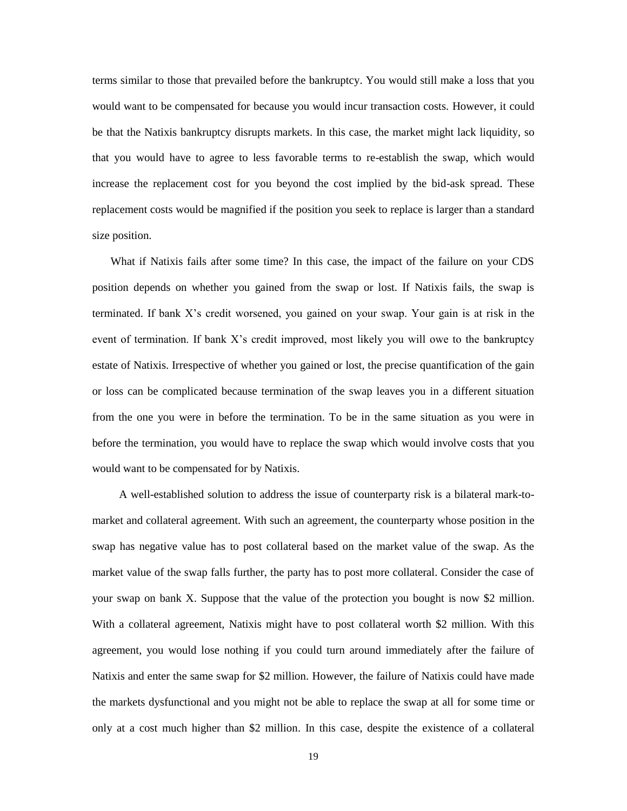terms similar to those that prevailed before the bankruptcy. You would still make a loss that you would want to be compensated for because you would incur transaction costs. However, it could be that the Natixis bankruptcy disrupts markets. In this case, the market might lack liquidity, so that you would have to agree to less favorable terms to re-establish the swap, which would increase the replacement cost for you beyond the cost implied by the bid-ask spread. These replacement costs would be magnified if the position you seek to replace is larger than a standard size position.

What if Natixis fails after some time? In this case, the impact of the failure on your CDS position depends on whether you gained from the swap or lost. If Natixis fails, the swap is terminated. If bank X's credit worsened, you gained on your swap. Your gain is at risk in the event of termination. If bank X's credit improved, most likely you will owe to the bankruptcy estate of Natixis. Irrespective of whether you gained or lost, the precise quantification of the gain or loss can be complicated because termination of the swap leaves you in a different situation from the one you were in before the termination. To be in the same situation as you were in before the termination, you would have to replace the swap which would involve costs that you would want to be compensated for by Natixis.

 A well-established solution to address the issue of counterparty risk is a bilateral mark-tomarket and collateral agreement. With such an agreement, the counterparty whose position in the swap has negative value has to post collateral based on the market value of the swap. As the market value of the swap falls further, the party has to post more collateral. Consider the case of your swap on bank X. Suppose that the value of the protection you bought is now \$2 million. With a collateral agreement, Natixis might have to post collateral worth \$2 million. With this agreement, you would lose nothing if you could turn around immediately after the failure of Natixis and enter the same swap for \$2 million. However, the failure of Natixis could have made the markets dysfunctional and you might not be able to replace the swap at all for some time or only at a cost much higher than \$2 million. In this case, despite the existence of a collateral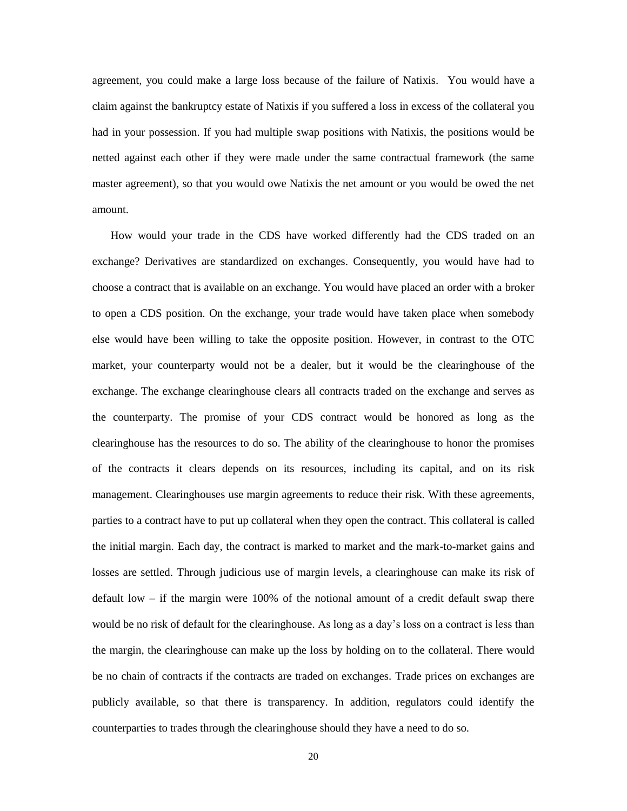agreement, you could make a large loss because of the failure of Natixis. You would have a claim against the bankruptcy estate of Natixis if you suffered a loss in excess of the collateral you had in your possession. If you had multiple swap positions with Natixis, the positions would be netted against each other if they were made under the same contractual framework (the same master agreement), so that you would owe Natixis the net amount or you would be owed the net amount.

How would your trade in the CDS have worked differently had the CDS traded on an exchange? Derivatives are standardized on exchanges. Consequently, you would have had to choose a contract that is available on an exchange. You would have placed an order with a broker to open a CDS position. On the exchange, your trade would have taken place when somebody else would have been willing to take the opposite position. However, in contrast to the OTC market, your counterparty would not be a dealer, but it would be the clearinghouse of the exchange. The exchange clearinghouse clears all contracts traded on the exchange and serves as the counterparty. The promise of your CDS contract would be honored as long as the clearinghouse has the resources to do so. The ability of the clearinghouse to honor the promises of the contracts it clears depends on its resources, including its capital, and on its risk management. Clearinghouses use margin agreements to reduce their risk. With these agreements, parties to a contract have to put up collateral when they open the contract. This collateral is called the initial margin. Each day, the contract is marked to market and the mark-to-market gains and losses are settled. Through judicious use of margin levels, a clearinghouse can make its risk of default low – if the margin were 100% of the notional amount of a credit default swap there would be no risk of default for the clearinghouse. As long as a day's loss on a contract is less than the margin, the clearinghouse can make up the loss by holding on to the collateral. There would be no chain of contracts if the contracts are traded on exchanges. Trade prices on exchanges are publicly available, so that there is transparency. In addition, regulators could identify the counterparties to trades through the clearinghouse should they have a need to do so.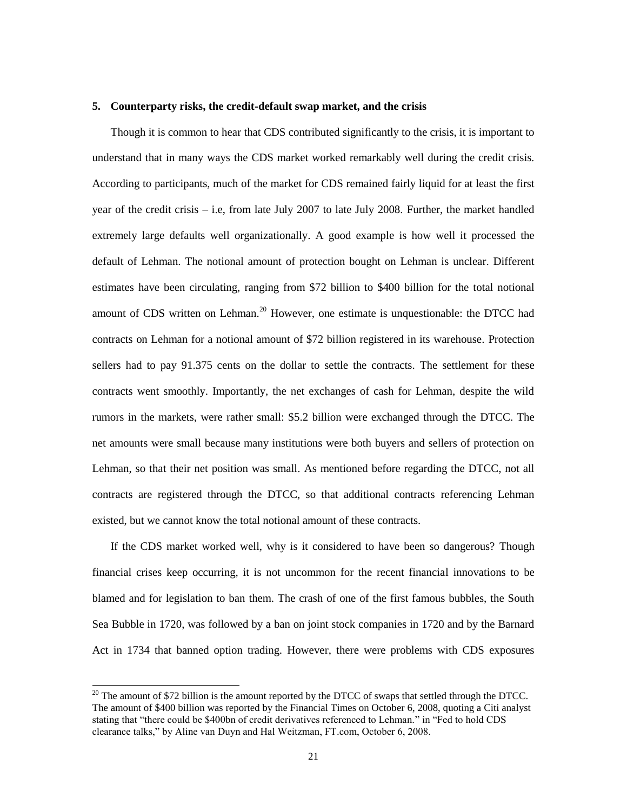#### **5. Counterparty risks, the credit-default swap market, and the crisis**

Though it is common to hear that CDS contributed significantly to the crisis, it is important to understand that in many ways the CDS market worked remarkably well during the credit crisis. According to participants, much of the market for CDS remained fairly liquid for at least the first year of the credit crisis – i.e, from late July 2007 to late July 2008. Further, the market handled extremely large defaults well organizationally. A good example is how well it processed the default of Lehman. The notional amount of protection bought on Lehman is unclear. Different estimates have been circulating, ranging from \$72 billion to \$400 billion for the total notional amount of CDS written on Lehman.<sup>20</sup> However, one estimate is unquestionable: the DTCC had contracts on Lehman for a notional amount of \$72 billion registered in its warehouse. Protection sellers had to pay 91.375 cents on the dollar to settle the contracts. The settlement for these contracts went smoothly. Importantly, the net exchanges of cash for Lehman, despite the wild rumors in the markets, were rather small: \$5.2 billion were exchanged through the DTCC. The net amounts were small because many institutions were both buyers and sellers of protection on Lehman, so that their net position was small. As mentioned before regarding the DTCC, not all contracts are registered through the DTCC, so that additional contracts referencing Lehman existed, but we cannot know the total notional amount of these contracts.

If the CDS market worked well, why is it considered to have been so dangerous? Though financial crises keep occurring, it is not uncommon for the recent financial innovations to be blamed and for legislation to ban them. The crash of one of the first famous bubbles, the South Sea Bubble in 1720, was followed by a ban on joint stock companies in 1720 and by the Barnard Act in 1734 that banned option trading. However, there were problems with CDS exposures

 $\overline{a}$ 

 $20$  The amount of \$72 billion is the amount reported by the DTCC of swaps that settled through the DTCC. The amount of \$400 billion was reported by the Financial Times on October 6, 2008, quoting a Citi analyst stating that "there could be \$400bn of credit derivatives referenced to Lehman." in "Fed to hold CDS clearance talks," by Aline van Duyn and Hal Weitzman, FT.com, October 6, 2008.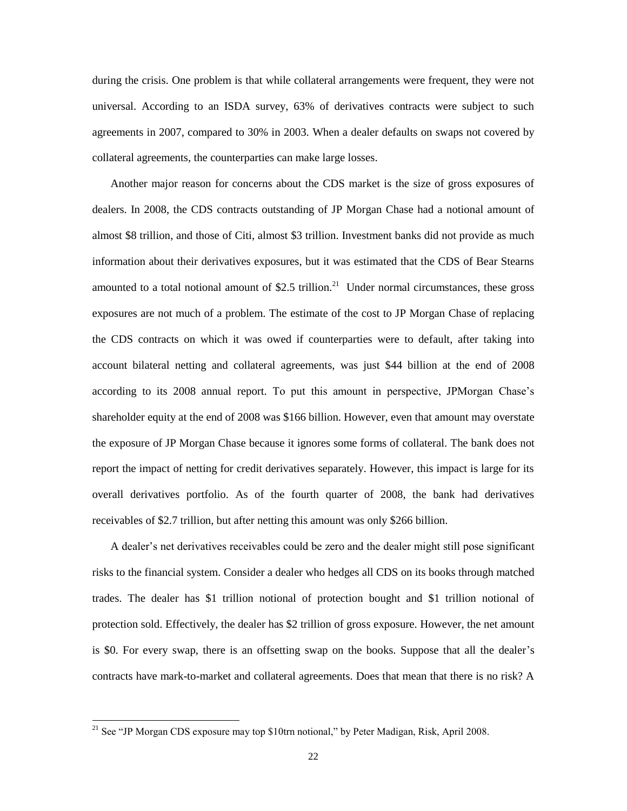during the crisis. One problem is that while collateral arrangements were frequent, they were not universal. According to an ISDA survey, 63% of derivatives contracts were subject to such agreements in 2007, compared to 30% in 2003. When a dealer defaults on swaps not covered by collateral agreements, the counterparties can make large losses.

Another major reason for concerns about the CDS market is the size of gross exposures of dealers. In 2008, the CDS contracts outstanding of JP Morgan Chase had a notional amount of almost \$8 trillion, and those of Citi, almost \$3 trillion. Investment banks did not provide as much information about their derivatives exposures, but it was estimated that the CDS of Bear Stearns amounted to a total notional amount of  $$2.5$  trillion.<sup>21</sup> Under normal circumstances, these gross exposures are not much of a problem. The estimate of the cost to JP Morgan Chase of replacing the CDS contracts on which it was owed if counterparties were to default, after taking into account bilateral netting and collateral agreements, was just \$44 billion at the end of 2008 according to its 2008 annual report. To put this amount in perspective, JPMorgan Chase's shareholder equity at the end of 2008 was \$166 billion. However, even that amount may overstate the exposure of JP Morgan Chase because it ignores some forms of collateral. The bank does not report the impact of netting for credit derivatives separately. However, this impact is large for its overall derivatives portfolio. As of the fourth quarter of 2008, the bank had derivatives receivables of \$2.7 trillion, but after netting this amount was only \$266 billion.

A dealer's net derivatives receivables could be zero and the dealer might still pose significant risks to the financial system. Consider a dealer who hedges all CDS on its books through matched trades. The dealer has \$1 trillion notional of protection bought and \$1 trillion notional of protection sold. Effectively, the dealer has \$2 trillion of gross exposure. However, the net amount is \$0. For every swap, there is an offsetting swap on the books. Suppose that all the dealer's contracts have mark-to-market and collateral agreements. Does that mean that there is no risk? A

<sup>&</sup>lt;sup>21</sup> See "JP Morgan CDS exposure may top \$10trn notional," by Peter Madigan, Risk, April 2008.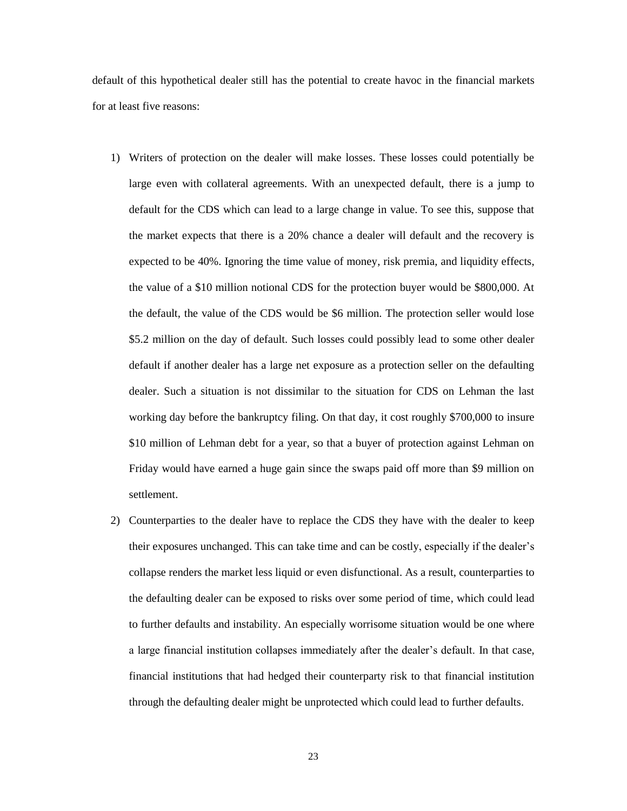default of this hypothetical dealer still has the potential to create havoc in the financial markets for at least five reasons:

- 1) Writers of protection on the dealer will make losses. These losses could potentially be large even with collateral agreements. With an unexpected default, there is a jump to default for the CDS which can lead to a large change in value. To see this, suppose that the market expects that there is a 20% chance a dealer will default and the recovery is expected to be 40%. Ignoring the time value of money, risk premia, and liquidity effects, the value of a \$10 million notional CDS for the protection buyer would be \$800,000. At the default, the value of the CDS would be \$6 million. The protection seller would lose \$5.2 million on the day of default. Such losses could possibly lead to some other dealer default if another dealer has a large net exposure as a protection seller on the defaulting dealer. Such a situation is not dissimilar to the situation for CDS on Lehman the last working day before the bankruptcy filing. On that day, it cost roughly \$700,000 to insure \$10 million of Lehman debt for a year, so that a buyer of protection against Lehman on Friday would have earned a huge gain since the swaps paid off more than \$9 million on settlement.
- 2) Counterparties to the dealer have to replace the CDS they have with the dealer to keep their exposures unchanged. This can take time and can be costly, especially if the dealer's collapse renders the market less liquid or even disfunctional. As a result, counterparties to the defaulting dealer can be exposed to risks over some period of time, which could lead to further defaults and instability. An especially worrisome situation would be one where a large financial institution collapses immediately after the dealer's default. In that case, financial institutions that had hedged their counterparty risk to that financial institution through the defaulting dealer might be unprotected which could lead to further defaults.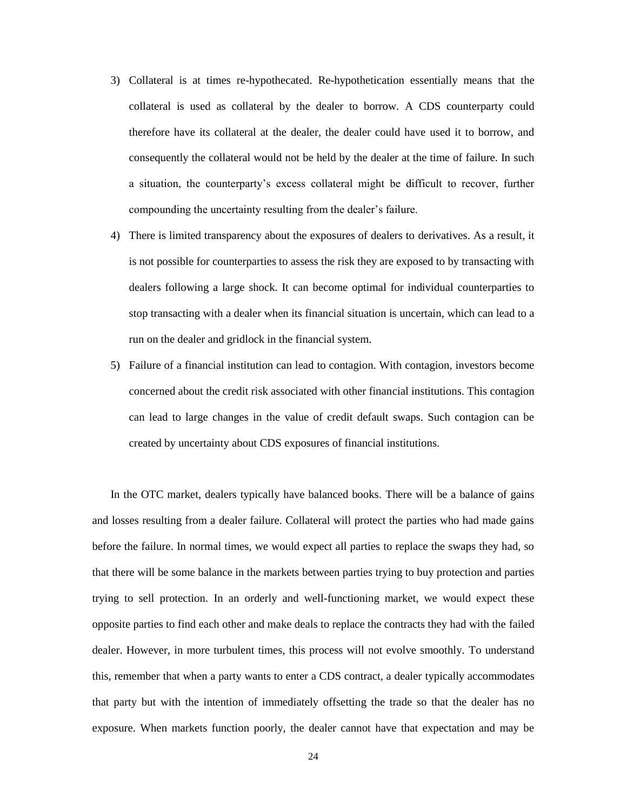- 3) Collateral is at times re-hypothecated. Re-hypothetication essentially means that the collateral is used as collateral by the dealer to borrow. A CDS counterparty could therefore have its collateral at the dealer, the dealer could have used it to borrow, and consequently the collateral would not be held by the dealer at the time of failure. In such a situation, the counterparty's excess collateral might be difficult to recover, further compounding the uncertainty resulting from the dealer's failure.
- 4) There is limited transparency about the exposures of dealers to derivatives. As a result, it is not possible for counterparties to assess the risk they are exposed to by transacting with dealers following a large shock. It can become optimal for individual counterparties to stop transacting with a dealer when its financial situation is uncertain, which can lead to a run on the dealer and gridlock in the financial system.
- 5) Failure of a financial institution can lead to contagion. With contagion, investors become concerned about the credit risk associated with other financial institutions. This contagion can lead to large changes in the value of credit default swaps. Such contagion can be created by uncertainty about CDS exposures of financial institutions.

In the OTC market, dealers typically have balanced books. There will be a balance of gains and losses resulting from a dealer failure. Collateral will protect the parties who had made gains before the failure. In normal times, we would expect all parties to replace the swaps they had, so that there will be some balance in the markets between parties trying to buy protection and parties trying to sell protection. In an orderly and well-functioning market, we would expect these opposite parties to find each other and make deals to replace the contracts they had with the failed dealer. However, in more turbulent times, this process will not evolve smoothly. To understand this, remember that when a party wants to enter a CDS contract, a dealer typically accommodates that party but with the intention of immediately offsetting the trade so that the dealer has no exposure. When markets function poorly, the dealer cannot have that expectation and may be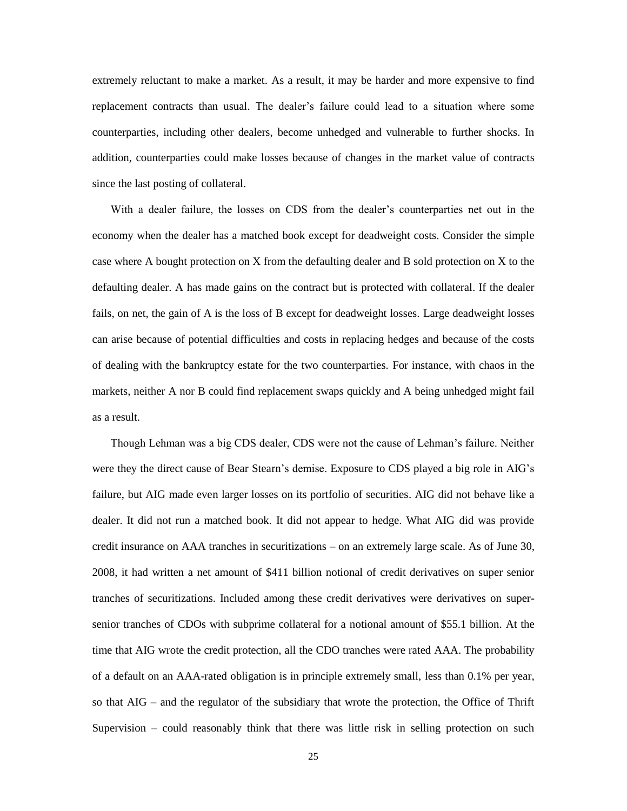extremely reluctant to make a market. As a result, it may be harder and more expensive to find replacement contracts than usual. The dealer's failure could lead to a situation where some counterparties, including other dealers, become unhedged and vulnerable to further shocks. In addition, counterparties could make losses because of changes in the market value of contracts since the last posting of collateral.

With a dealer failure, the losses on CDS from the dealer's counterparties net out in the economy when the dealer has a matched book except for deadweight costs. Consider the simple case where A bought protection on X from the defaulting dealer and B sold protection on X to the defaulting dealer. A has made gains on the contract but is protected with collateral. If the dealer fails, on net, the gain of A is the loss of B except for deadweight losses. Large deadweight losses can arise because of potential difficulties and costs in replacing hedges and because of the costs of dealing with the bankruptcy estate for the two counterparties. For instance, with chaos in the markets, neither A nor B could find replacement swaps quickly and A being unhedged might fail as a result.

Though Lehman was a big CDS dealer, CDS were not the cause of Lehman's failure. Neither were they the direct cause of Bear Stearn's demise. Exposure to CDS played a big role in AIG's failure, but AIG made even larger losses on its portfolio of securities. AIG did not behave like a dealer. It did not run a matched book. It did not appear to hedge. What AIG did was provide credit insurance on AAA tranches in securitizations – on an extremely large scale. As of June 30, 2008, it had written a net amount of \$411 billion notional of credit derivatives on super senior tranches of securitizations. Included among these credit derivatives were derivatives on supersenior tranches of CDOs with subprime collateral for a notional amount of \$55.1 billion. At the time that AIG wrote the credit protection, all the CDO tranches were rated AAA. The probability of a default on an AAA-rated obligation is in principle extremely small, less than 0.1% per year, so that AIG – and the regulator of the subsidiary that wrote the protection, the Office of Thrift Supervision – could reasonably think that there was little risk in selling protection on such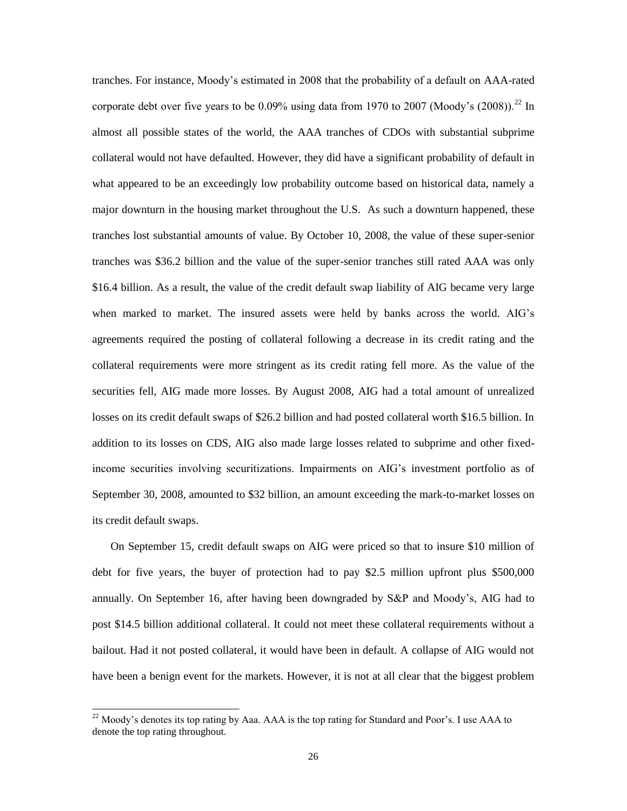tranches. For instance, Moody's estimated in 2008 that the probability of a default on AAA-rated corporate debt over five years to be  $0.09\%$  using data from 1970 to 2007 (Moody's (2008)).<sup>22</sup> In almost all possible states of the world, the AAA tranches of CDOs with substantial subprime collateral would not have defaulted. However, they did have a significant probability of default in what appeared to be an exceedingly low probability outcome based on historical data, namely a major downturn in the housing market throughout the U.S. As such a downturn happened, these tranches lost substantial amounts of value. By October 10, 2008, the value of these super-senior tranches was \$36.2 billion and the value of the super-senior tranches still rated AAA was only \$16.4 billion. As a result, the value of the credit default swap liability of AIG became very large when marked to market. The insured assets were held by banks across the world. AIG's agreements required the posting of collateral following a decrease in its credit rating and the collateral requirements were more stringent as its credit rating fell more. As the value of the securities fell, AIG made more losses. By August 2008, AIG had a total amount of unrealized losses on its credit default swaps of \$26.2 billion and had posted collateral worth \$16.5 billion. In addition to its losses on CDS, AIG also made large losses related to subprime and other fixedincome securities involving securitizations. Impairments on AIG's investment portfolio as of September 30, 2008, amounted to \$32 billion, an amount exceeding the mark-to-market losses on its credit default swaps.

On September 15, credit default swaps on AIG were priced so that to insure \$10 million of debt for five years, the buyer of protection had to pay \$2.5 million upfront plus \$500,000 annually. On September 16, after having been downgraded by S&P and Moody's, AIG had to post \$14.5 billion additional collateral. It could not meet these collateral requirements without a bailout. Had it not posted collateral, it would have been in default. A collapse of AIG would not have been a benign event for the markets. However, it is not at all clear that the biggest problem

 $\overline{a}$ 

 $^{22}$  Moody's denotes its top rating by Aaa. AAA is the top rating for Standard and Poor's. I use AAA to denote the top rating throughout.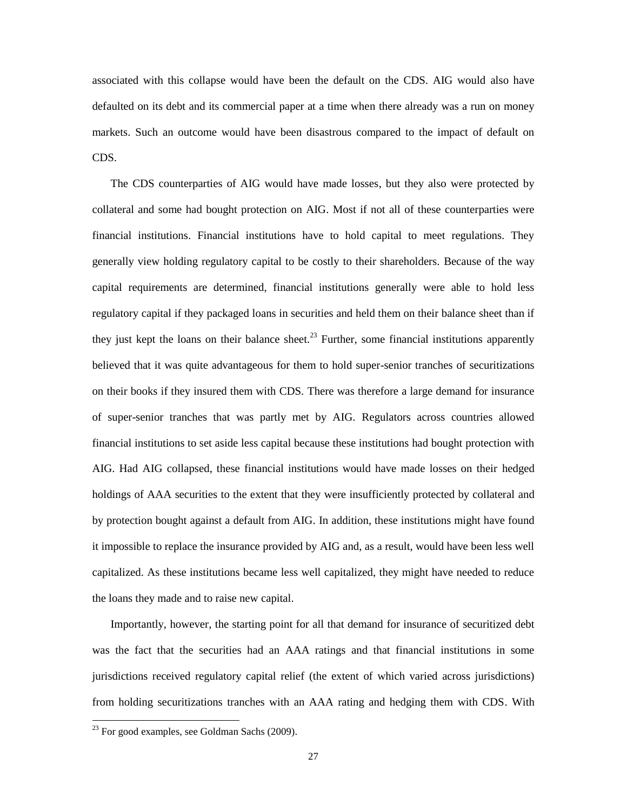associated with this collapse would have been the default on the CDS. AIG would also have defaulted on its debt and its commercial paper at a time when there already was a run on money markets. Such an outcome would have been disastrous compared to the impact of default on CDS.

The CDS counterparties of AIG would have made losses, but they also were protected by collateral and some had bought protection on AIG. Most if not all of these counterparties were financial institutions. Financial institutions have to hold capital to meet regulations. They generally view holding regulatory capital to be costly to their shareholders. Because of the way capital requirements are determined, financial institutions generally were able to hold less regulatory capital if they packaged loans in securities and held them on their balance sheet than if they just kept the loans on their balance sheet.<sup>23</sup> Further, some financial institutions apparently believed that it was quite advantageous for them to hold super-senior tranches of securitizations on their books if they insured them with CDS. There was therefore a large demand for insurance of super-senior tranches that was partly met by AIG. Regulators across countries allowed financial institutions to set aside less capital because these institutions had bought protection with AIG. Had AIG collapsed, these financial institutions would have made losses on their hedged holdings of AAA securities to the extent that they were insufficiently protected by collateral and by protection bought against a default from AIG. In addition, these institutions might have found it impossible to replace the insurance provided by AIG and, as a result, would have been less well capitalized. As these institutions became less well capitalized, they might have needed to reduce the loans they made and to raise new capital.

Importantly, however, the starting point for all that demand for insurance of securitized debt was the fact that the securities had an AAA ratings and that financial institutions in some jurisdictions received regulatory capital relief (the extent of which varied across jurisdictions) from holding securitizations tranches with an AAA rating and hedging them with CDS. With

 $23$  For good examples, see Goldman Sachs (2009).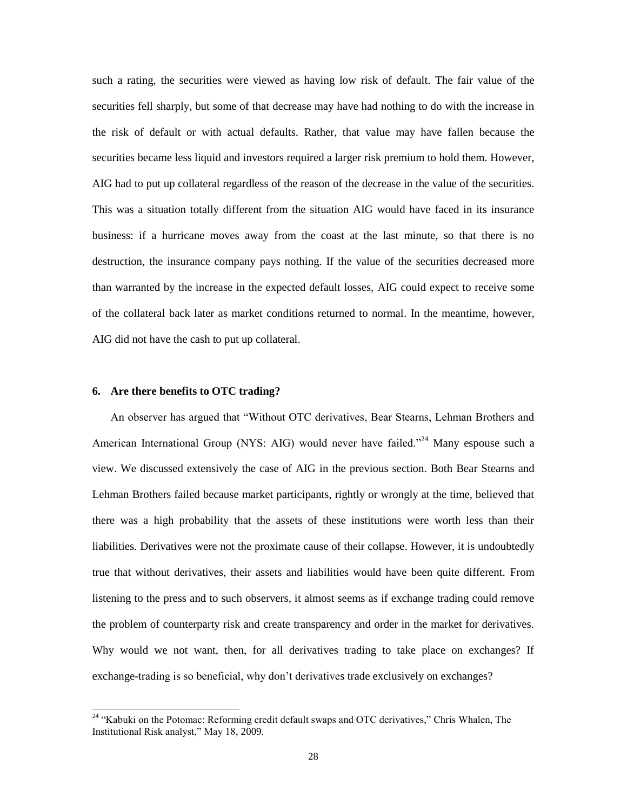such a rating, the securities were viewed as having low risk of default. The fair value of the securities fell sharply, but some of that decrease may have had nothing to do with the increase in the risk of default or with actual defaults. Rather, that value may have fallen because the securities became less liquid and investors required a larger risk premium to hold them. However, AIG had to put up collateral regardless of the reason of the decrease in the value of the securities. This was a situation totally different from the situation AIG would have faced in its insurance business: if a hurricane moves away from the coast at the last minute, so that there is no destruction, the insurance company pays nothing. If the value of the securities decreased more than warranted by the increase in the expected default losses, AIG could expect to receive some of the collateral back later as market conditions returned to normal. In the meantime, however, AIG did not have the cash to put up collateral.

#### **6. Are there benefits to OTC trading?**

 $\overline{a}$ 

An observer has argued that "Without OTC derivatives, Bear Stearns, Lehman Brothers and American International Group (NYS: AIG) would never have failed."<sup>24</sup> Many espouse such a view. We discussed extensively the case of AIG in the previous section. Both Bear Stearns and Lehman Brothers failed because market participants, rightly or wrongly at the time, believed that there was a high probability that the assets of these institutions were worth less than their liabilities. Derivatives were not the proximate cause of their collapse. However, it is undoubtedly true that without derivatives, their assets and liabilities would have been quite different. From listening to the press and to such observers, it almost seems as if exchange trading could remove the problem of counterparty risk and create transparency and order in the market for derivatives. Why would we not want, then, for all derivatives trading to take place on exchanges? If exchange-trading is so beneficial, why don't derivatives trade exclusively on exchanges?

<sup>&</sup>lt;sup>24</sup> "Kabuki on the Potomac: Reforming credit default swaps and OTC derivatives," Chris Whalen, The Institutional Risk analyst," May 18, 2009.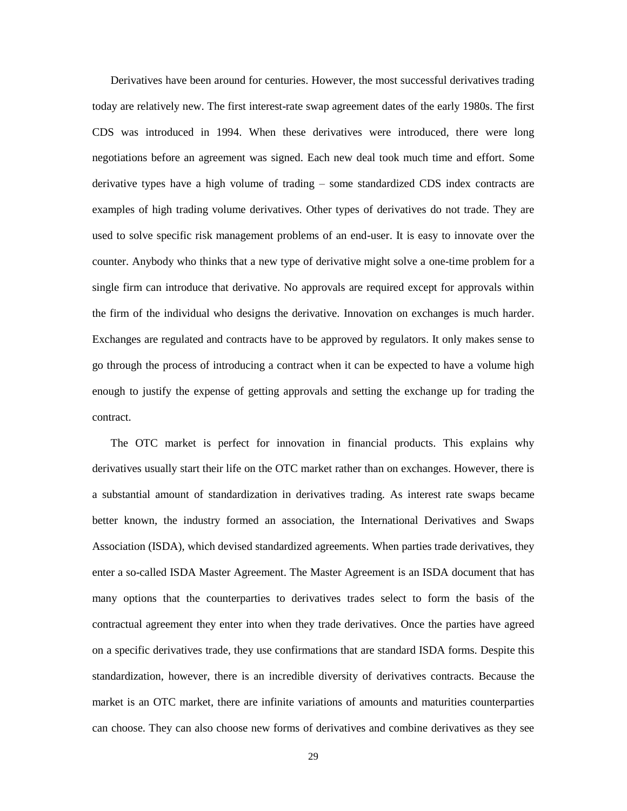Derivatives have been around for centuries. However, the most successful derivatives trading today are relatively new. The first interest-rate swap agreement dates of the early 1980s. The first CDS was introduced in 1994. When these derivatives were introduced, there were long negotiations before an agreement was signed. Each new deal took much time and effort. Some derivative types have a high volume of trading – some standardized CDS index contracts are examples of high trading volume derivatives. Other types of derivatives do not trade. They are used to solve specific risk management problems of an end-user. It is easy to innovate over the counter. Anybody who thinks that a new type of derivative might solve a one-time problem for a single firm can introduce that derivative. No approvals are required except for approvals within the firm of the individual who designs the derivative. Innovation on exchanges is much harder. Exchanges are regulated and contracts have to be approved by regulators. It only makes sense to go through the process of introducing a contract when it can be expected to have a volume high enough to justify the expense of getting approvals and setting the exchange up for trading the contract.

The OTC market is perfect for innovation in financial products. This explains why derivatives usually start their life on the OTC market rather than on exchanges. However, there is a substantial amount of standardization in derivatives trading. As interest rate swaps became better known, the industry formed an association, the International Derivatives and Swaps Association (ISDA), which devised standardized agreements. When parties trade derivatives, they enter a so-called ISDA Master Agreement. The Master Agreement is an ISDA document that has many options that the counterparties to derivatives trades select to form the basis of the contractual agreement they enter into when they trade derivatives. Once the parties have agreed on a specific derivatives trade, they use confirmations that are standard ISDA forms. Despite this standardization, however, there is an incredible diversity of derivatives contracts. Because the market is an OTC market, there are infinite variations of amounts and maturities counterparties can choose. They can also choose new forms of derivatives and combine derivatives as they see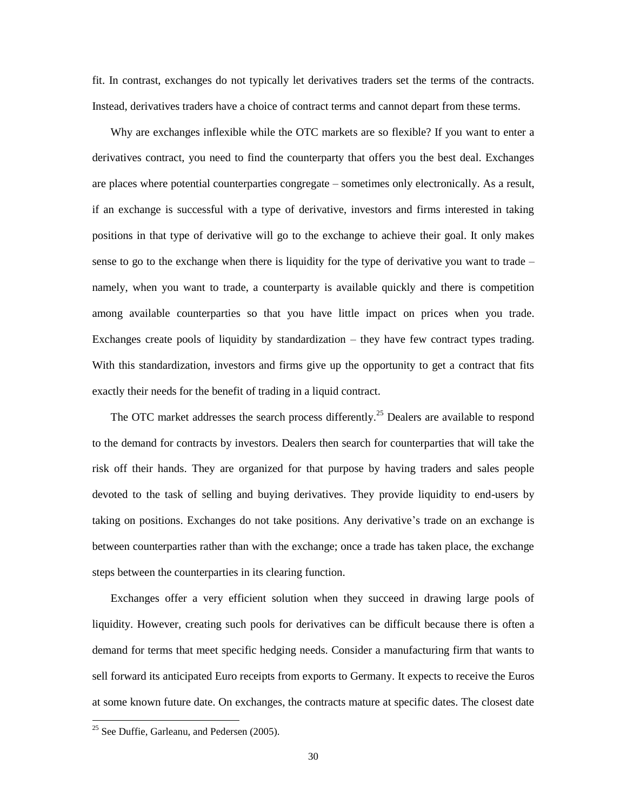fit. In contrast, exchanges do not typically let derivatives traders set the terms of the contracts. Instead, derivatives traders have a choice of contract terms and cannot depart from these terms.

Why are exchanges inflexible while the OTC markets are so flexible? If you want to enter a derivatives contract, you need to find the counterparty that offers you the best deal. Exchanges are places where potential counterparties congregate – sometimes only electronically. As a result, if an exchange is successful with a type of derivative, investors and firms interested in taking positions in that type of derivative will go to the exchange to achieve their goal. It only makes sense to go to the exchange when there is liquidity for the type of derivative you want to trade – namely, when you want to trade, a counterparty is available quickly and there is competition among available counterparties so that you have little impact on prices when you trade. Exchanges create pools of liquidity by standardization – they have few contract types trading. With this standardization, investors and firms give up the opportunity to get a contract that fits exactly their needs for the benefit of trading in a liquid contract.

The OTC market addresses the search process differently.<sup>25</sup> Dealers are available to respond to the demand for contracts by investors. Dealers then search for counterparties that will take the risk off their hands. They are organized for that purpose by having traders and sales people devoted to the task of selling and buying derivatives. They provide liquidity to end-users by taking on positions. Exchanges do not take positions. Any derivative's trade on an exchange is between counterparties rather than with the exchange; once a trade has taken place, the exchange steps between the counterparties in its clearing function.

Exchanges offer a very efficient solution when they succeed in drawing large pools of liquidity. However, creating such pools for derivatives can be difficult because there is often a demand for terms that meet specific hedging needs. Consider a manufacturing firm that wants to sell forward its anticipated Euro receipts from exports to Germany. It expects to receive the Euros at some known future date. On exchanges, the contracts mature at specific dates. The closest date

<sup>&</sup>lt;sup>25</sup> See Duffie, Garleanu, and Pedersen (2005).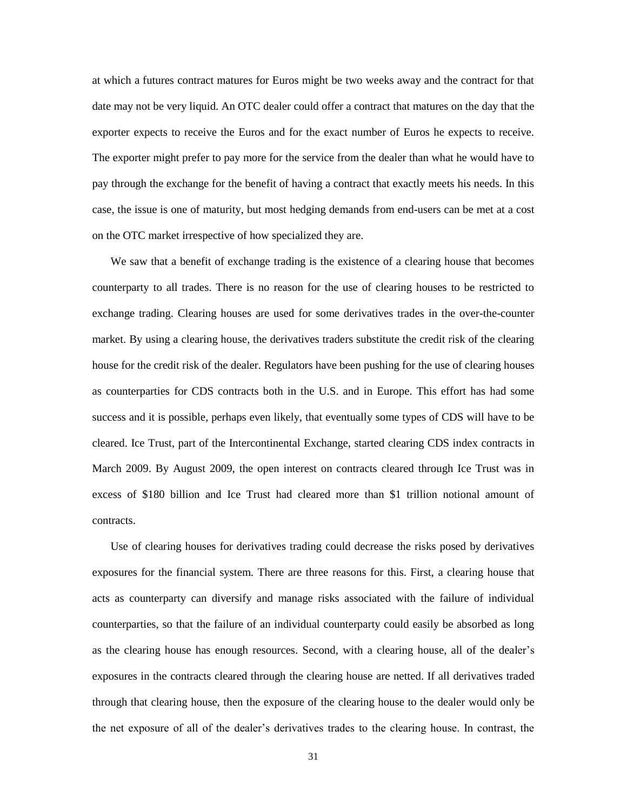at which a futures contract matures for Euros might be two weeks away and the contract for that date may not be very liquid. An OTC dealer could offer a contract that matures on the day that the exporter expects to receive the Euros and for the exact number of Euros he expects to receive. The exporter might prefer to pay more for the service from the dealer than what he would have to pay through the exchange for the benefit of having a contract that exactly meets his needs. In this case, the issue is one of maturity, but most hedging demands from end-users can be met at a cost on the OTC market irrespective of how specialized they are.

We saw that a benefit of exchange trading is the existence of a clearing house that becomes counterparty to all trades. There is no reason for the use of clearing houses to be restricted to exchange trading. Clearing houses are used for some derivatives trades in the over-the-counter market. By using a clearing house, the derivatives traders substitute the credit risk of the clearing house for the credit risk of the dealer. Regulators have been pushing for the use of clearing houses as counterparties for CDS contracts both in the U.S. and in Europe. This effort has had some success and it is possible, perhaps even likely, that eventually some types of CDS will have to be cleared. Ice Trust, part of the Intercontinental Exchange, started clearing CDS index contracts in March 2009. By August 2009, the open interest on contracts cleared through Ice Trust was in excess of \$180 billion and Ice Trust had cleared more than \$1 trillion notional amount of contracts.

Use of clearing houses for derivatives trading could decrease the risks posed by derivatives exposures for the financial system. There are three reasons for this. First, a clearing house that acts as counterparty can diversify and manage risks associated with the failure of individual counterparties, so that the failure of an individual counterparty could easily be absorbed as long as the clearing house has enough resources. Second, with a clearing house, all of the dealer's exposures in the contracts cleared through the clearing house are netted. If all derivatives traded through that clearing house, then the exposure of the clearing house to the dealer would only be the net exposure of all of the dealer's derivatives trades to the clearing house. In contrast, the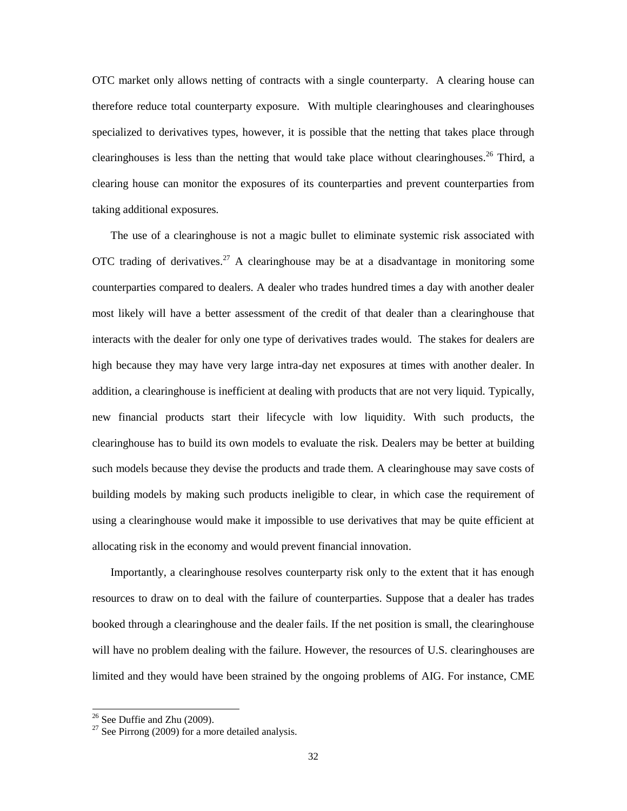OTC market only allows netting of contracts with a single counterparty. A clearing house can therefore reduce total counterparty exposure. With multiple clearinghouses and clearinghouses specialized to derivatives types, however, it is possible that the netting that takes place through clearinghouses is less than the netting that would take place without clearinghouses.<sup>26</sup> Third, a clearing house can monitor the exposures of its counterparties and prevent counterparties from taking additional exposures.

The use of a clearinghouse is not a magic bullet to eliminate systemic risk associated with OTC trading of derivatives.<sup>27</sup> A clearinghouse may be at a disadvantage in monitoring some counterparties compared to dealers. A dealer who trades hundred times a day with another dealer most likely will have a better assessment of the credit of that dealer than a clearinghouse that interacts with the dealer for only one type of derivatives trades would. The stakes for dealers are high because they may have very large intra-day net exposures at times with another dealer. In addition, a clearinghouse is inefficient at dealing with products that are not very liquid. Typically, new financial products start their lifecycle with low liquidity. With such products, the clearinghouse has to build its own models to evaluate the risk. Dealers may be better at building such models because they devise the products and trade them. A clearinghouse may save costs of building models by making such products ineligible to clear, in which case the requirement of using a clearinghouse would make it impossible to use derivatives that may be quite efficient at allocating risk in the economy and would prevent financial innovation.

Importantly, a clearinghouse resolves counterparty risk only to the extent that it has enough resources to draw on to deal with the failure of counterparties. Suppose that a dealer has trades booked through a clearinghouse and the dealer fails. If the net position is small, the clearinghouse will have no problem dealing with the failure. However, the resources of U.S. clearinghouses are limited and they would have been strained by the ongoing problems of AIG. For instance, CME

 $\overline{a}$ 

 $26$  See Duffie and Zhu (2009).

 $27$  See Pirrong (2009) for a more detailed analysis.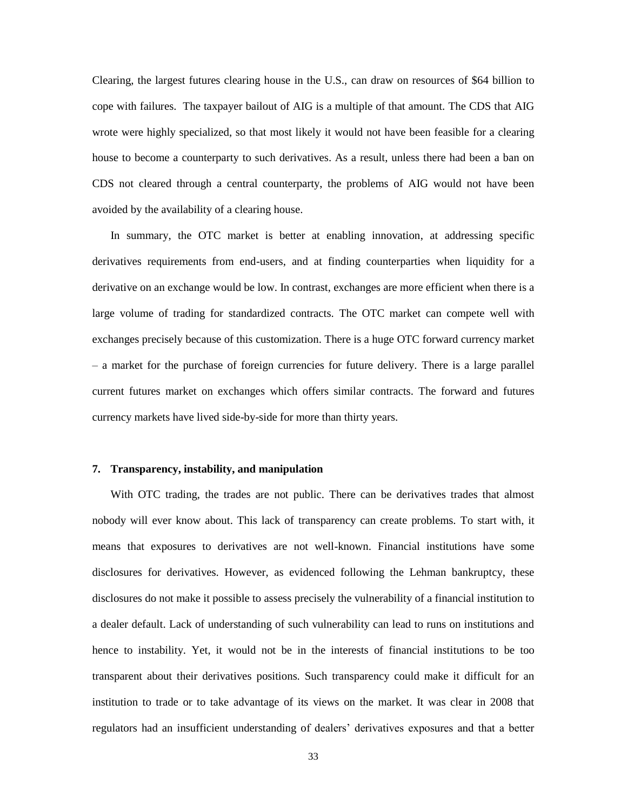Clearing, the largest futures clearing house in the U.S., can draw on resources of \$64 billion to cope with failures. The taxpayer bailout of AIG is a multiple of that amount. The CDS that AIG wrote were highly specialized, so that most likely it would not have been feasible for a clearing house to become a counterparty to such derivatives. As a result, unless there had been a ban on CDS not cleared through a central counterparty, the problems of AIG would not have been avoided by the availability of a clearing house.

In summary, the OTC market is better at enabling innovation, at addressing specific derivatives requirements from end-users, and at finding counterparties when liquidity for a derivative on an exchange would be low. In contrast, exchanges are more efficient when there is a large volume of trading for standardized contracts. The OTC market can compete well with exchanges precisely because of this customization. There is a huge OTC forward currency market – a market for the purchase of foreign currencies for future delivery. There is a large parallel current futures market on exchanges which offers similar contracts. The forward and futures currency markets have lived side-by-side for more than thirty years.

### **7. Transparency, instability, and manipulation**

With OTC trading, the trades are not public. There can be derivatives trades that almost nobody will ever know about. This lack of transparency can create problems. To start with, it means that exposures to derivatives are not well-known. Financial institutions have some disclosures for derivatives. However, as evidenced following the Lehman bankruptcy, these disclosures do not make it possible to assess precisely the vulnerability of a financial institution to a dealer default. Lack of understanding of such vulnerability can lead to runs on institutions and hence to instability. Yet, it would not be in the interests of financial institutions to be too transparent about their derivatives positions. Such transparency could make it difficult for an institution to trade or to take advantage of its views on the market. It was clear in 2008 that regulators had an insufficient understanding of dealers' derivatives exposures and that a better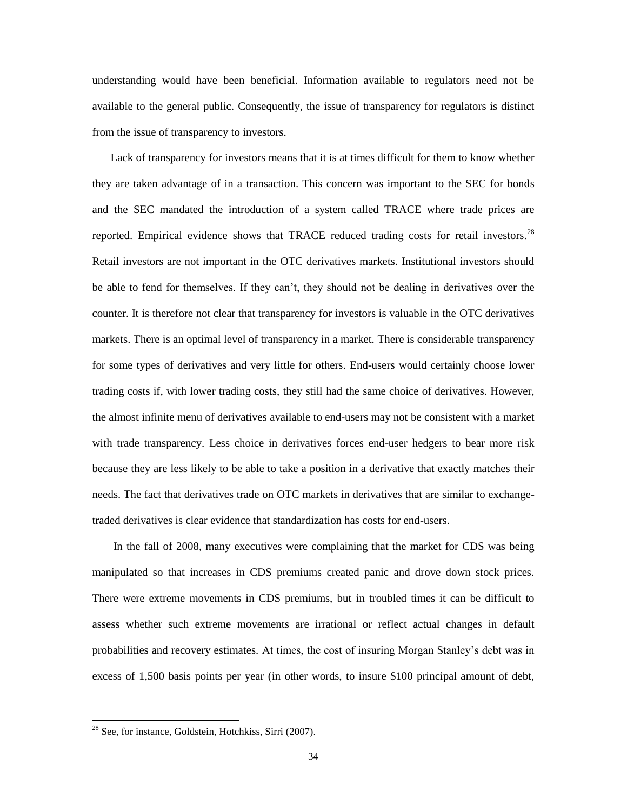understanding would have been beneficial. Information available to regulators need not be available to the general public. Consequently, the issue of transparency for regulators is distinct from the issue of transparency to investors.

Lack of transparency for investors means that it is at times difficult for them to know whether they are taken advantage of in a transaction. This concern was important to the SEC for bonds and the SEC mandated the introduction of a system called TRACE where trade prices are reported. Empirical evidence shows that TRACE reduced trading costs for retail investors.<sup>28</sup> Retail investors are not important in the OTC derivatives markets. Institutional investors should be able to fend for themselves. If they can't, they should not be dealing in derivatives over the counter. It is therefore not clear that transparency for investors is valuable in the OTC derivatives markets. There is an optimal level of transparency in a market. There is considerable transparency for some types of derivatives and very little for others. End-users would certainly choose lower trading costs if, with lower trading costs, they still had the same choice of derivatives. However, the almost infinite menu of derivatives available to end-users may not be consistent with a market with trade transparency. Less choice in derivatives forces end-user hedgers to bear more risk because they are less likely to be able to take a position in a derivative that exactly matches their needs. The fact that derivatives trade on OTC markets in derivatives that are similar to exchangetraded derivatives is clear evidence that standardization has costs for end-users.

In the fall of 2008, many executives were complaining that the market for CDS was being manipulated so that increases in CDS premiums created panic and drove down stock prices. There were extreme movements in CDS premiums, but in troubled times it can be difficult to assess whether such extreme movements are irrational or reflect actual changes in default probabilities and recovery estimates. At times, the cost of insuring Morgan Stanley's debt was in excess of 1,500 basis points per year (in other words, to insure \$100 principal amount of debt,

<sup>&</sup>lt;sup>28</sup> See, for instance, Goldstein, Hotchkiss, Sirri (2007).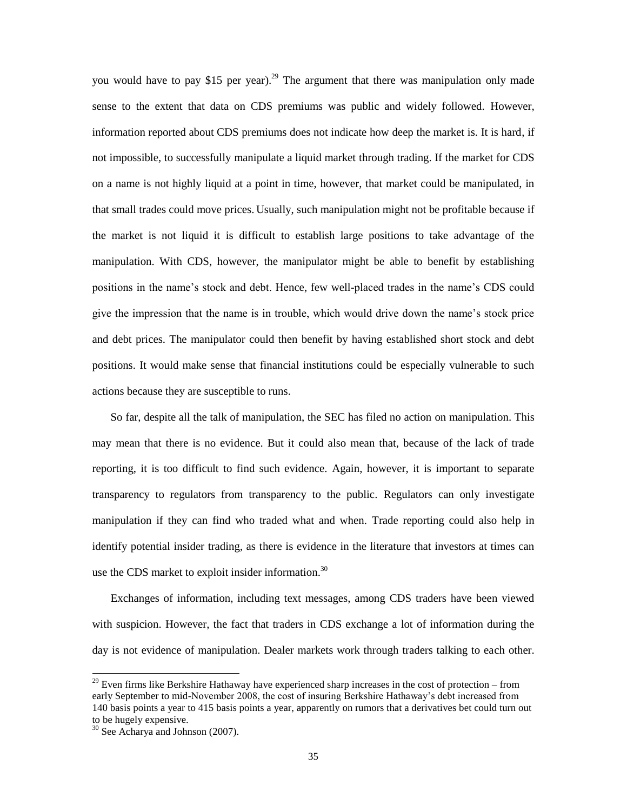you would have to pay \$15 per year).<sup>29</sup> The argument that there was manipulation only made sense to the extent that data on CDS premiums was public and widely followed. However, information reported about CDS premiums does not indicate how deep the market is. It is hard, if not impossible, to successfully manipulate a liquid market through trading. If the market for CDS on a name is not highly liquid at a point in time, however, that market could be manipulated, in that small trades could move prices. Usually, such manipulation might not be profitable because if the market is not liquid it is difficult to establish large positions to take advantage of the manipulation. With CDS, however, the manipulator might be able to benefit by establishing positions in the name's stock and debt. Hence, few well-placed trades in the name's CDS could give the impression that the name is in trouble, which would drive down the name's stock price and debt prices. The manipulator could then benefit by having established short stock and debt positions. It would make sense that financial institutions could be especially vulnerable to such actions because they are susceptible to runs.

So far, despite all the talk of manipulation, the SEC has filed no action on manipulation. This may mean that there is no evidence. But it could also mean that, because of the lack of trade reporting, it is too difficult to find such evidence. Again, however, it is important to separate transparency to regulators from transparency to the public. Regulators can only investigate manipulation if they can find who traded what and when. Trade reporting could also help in identify potential insider trading, as there is evidence in the literature that investors at times can use the CDS market to exploit insider information.<sup>30</sup>

Exchanges of information, including text messages, among CDS traders have been viewed with suspicion. However, the fact that traders in CDS exchange a lot of information during the day is not evidence of manipulation. Dealer markets work through traders talking to each other.

 $\overline{a}$ 

 $^{29}$  Even firms like Berkshire Hathaway have experienced sharp increases in the cost of protection – from early September to mid-November 2008, the cost of insuring Berkshire Hathaway's debt increased from 140 basis points a year to 415 basis points a year, apparently on rumors that a derivatives bet could turn out to be hugely expensive.

<sup>&</sup>lt;sup>30</sup> See Acharya and Johnson (2007).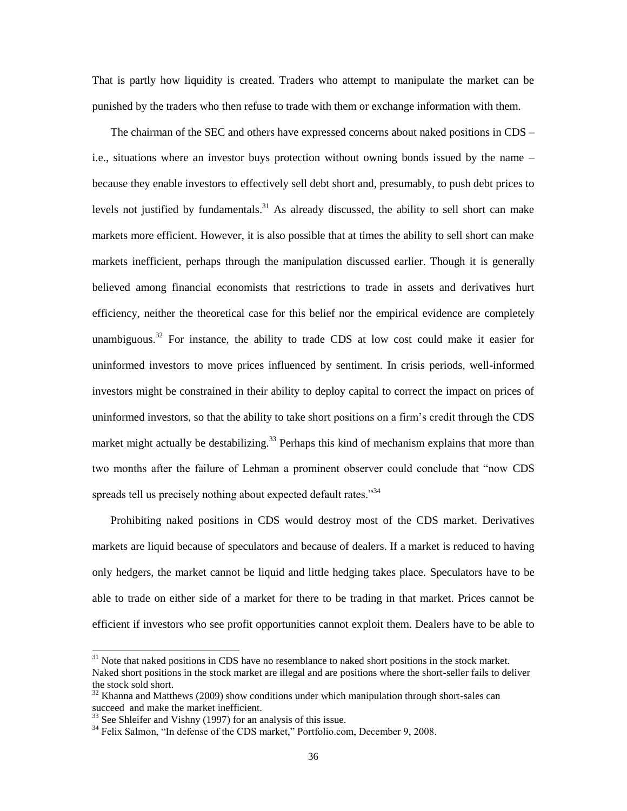That is partly how liquidity is created. Traders who attempt to manipulate the market can be punished by the traders who then refuse to trade with them or exchange information with them.

The chairman of the SEC and others have expressed concerns about naked positions in CDS – i.e., situations where an investor buys protection without owning bonds issued by the name – because they enable investors to effectively sell debt short and, presumably, to push debt prices to levels not justified by fundamentals. $31$  As already discussed, the ability to sell short can make markets more efficient. However, it is also possible that at times the ability to sell short can make markets inefficient, perhaps through the manipulation discussed earlier. Though it is generally believed among financial economists that restrictions to trade in assets and derivatives hurt efficiency, neither the theoretical case for this belief nor the empirical evidence are completely unambiguous.<sup>32</sup> For instance, the ability to trade CDS at low cost could make it easier for uninformed investors to move prices influenced by sentiment. In crisis periods, well-informed investors might be constrained in their ability to deploy capital to correct the impact on prices of uninformed investors, so that the ability to take short positions on a firm's credit through the CDS market might actually be destabilizing.<sup>33</sup> Perhaps this kind of mechanism explains that more than two months after the failure of Lehman a prominent observer could conclude that "now CDS spreads tell us precisely nothing about expected default rates.<sup>334</sup>

Prohibiting naked positions in CDS would destroy most of the CDS market. Derivatives markets are liquid because of speculators and because of dealers. If a market is reduced to having only hedgers, the market cannot be liquid and little hedging takes place. Speculators have to be able to trade on either side of a market for there to be trading in that market. Prices cannot be efficient if investors who see profit opportunities cannot exploit them. Dealers have to be able to

 $\overline{a}$ 

 $31$  Note that naked positions in CDS have no resemblance to naked short positions in the stock market. Naked short positions in the stock market are illegal and are positions where the short-seller fails to deliver the stock sold short.

<sup>&</sup>lt;sup>32</sup> Khanna and Matthews (2009) show conditions under which manipulation through short-sales can succeed and make the market inefficient.

 $33$  See Shleifer and Vishny (1997) for an analysis of this issue.

<sup>&</sup>lt;sup>34</sup> Felix Salmon, "In defense of the CDS market," Portfolio.com, December 9, 2008.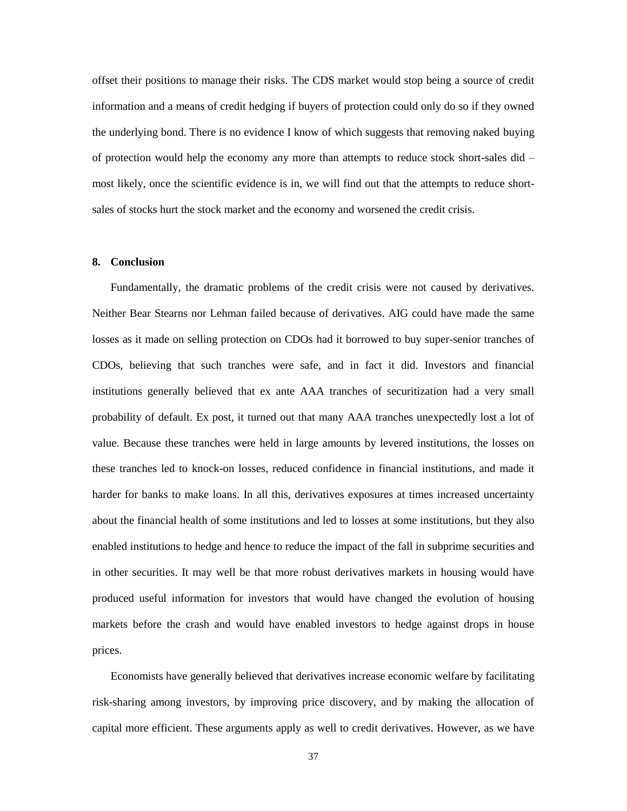offset their positions to manage their risks. The CDS market would stop being a source of credit information and a means of credit hedging if buyers of protection could only do so if they owned the underlying bond. There is no evidence I know of which suggests that removing naked buying of protection would help the economy any more than attempts to reduce stock short-sales did – most likely, once the scientific evidence is in, we will find out that the attempts to reduce shortsales of stocks hurt the stock market and the economy and worsened the credit crisis.

#### **8. Conclusion**

Fundamentally, the dramatic problems of the credit crisis were not caused by derivatives. Neither Bear Stearns nor Lehman failed because of derivatives. AIG could have made the same losses as it made on selling protection on CDOs had it borrowed to buy super-senior tranches of CDOs, believing that such tranches were safe, and in fact it did. Investors and financial institutions generally believed that ex ante AAA tranches of securitization had a very small probability of default. Ex post, it turned out that many AAA tranches unexpectedly lost a lot of value. Because these tranches were held in large amounts by levered institutions, the losses on these tranches led to knock-on losses, reduced confidence in financial institutions, and made it harder for banks to make loans. In all this, derivatives exposures at times increased uncertainty about the financial health of some institutions and led to losses at some institutions, but they also enabled institutions to hedge and hence to reduce the impact of the fall in subprime securities and in other securities. It may well be that more robust derivatives markets in housing would have produced useful information for investors that would have changed the evolution of housing markets before the crash and would have enabled investors to hedge against drops in house prices.

Economists have generally believed that derivatives increase economic welfare by facilitating risk-sharing among investors, by improving price discovery, and by making the allocation of capital more efficient. These arguments apply as well to credit derivatives. However, as we have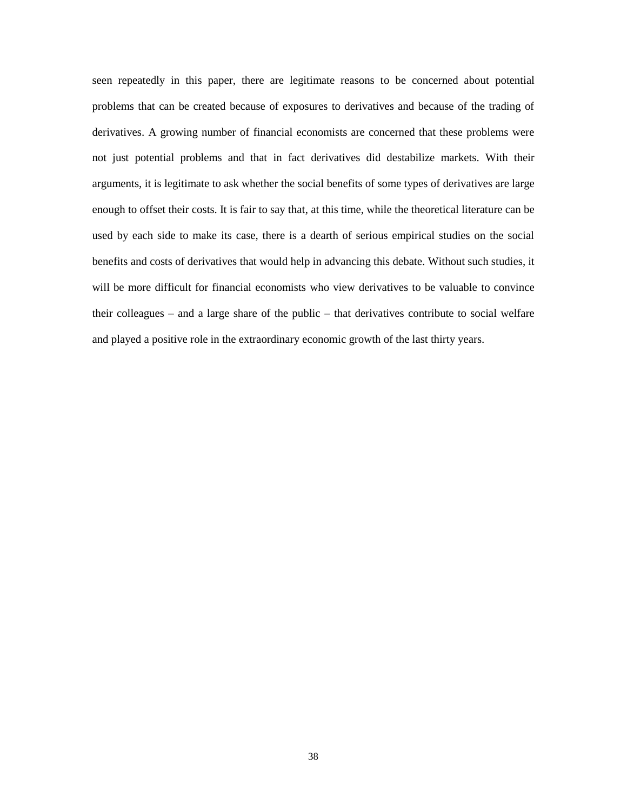seen repeatedly in this paper, there are legitimate reasons to be concerned about potential problems that can be created because of exposures to derivatives and because of the trading of derivatives. A growing number of financial economists are concerned that these problems were not just potential problems and that in fact derivatives did destabilize markets. With their arguments, it is legitimate to ask whether the social benefits of some types of derivatives are large enough to offset their costs. It is fair to say that, at this time, while the theoretical literature can be used by each side to make its case, there is a dearth of serious empirical studies on the social benefits and costs of derivatives that would help in advancing this debate. Without such studies, it will be more difficult for financial economists who view derivatives to be valuable to convince their colleagues – and a large share of the public – that derivatives contribute to social welfare and played a positive role in the extraordinary economic growth of the last thirty years.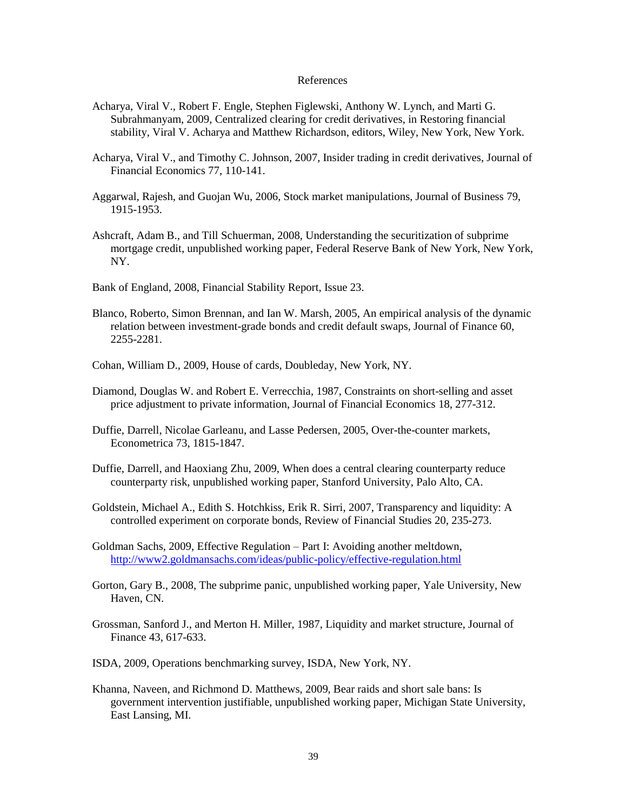#### References

- Acharya, Viral V., Robert F. Engle, Stephen Figlewski, Anthony W. Lynch, and Marti G. Subrahmanyam, 2009, Centralized clearing for credit derivatives, in Restoring financial stability, Viral V. Acharya and Matthew Richardson, editors, Wiley, New York, New York.
- Acharya, Viral V., and Timothy C. Johnson, 2007, Insider trading in credit derivatives, Journal of Financial Economics 77, 110-141.
- Aggarwal, Rajesh, and Guojan Wu, 2006, Stock market manipulations, Journal of Business 79, 1915-1953.
- Ashcraft, Adam B., and Till Schuerman, 2008, Understanding the securitization of subprime mortgage credit, unpublished working paper, Federal Reserve Bank of New York, New York, NY.
- Bank of England, 2008, Financial Stability Report, Issue 23.
- Blanco, Roberto, Simon Brennan, and Ian W. Marsh, 2005, An empirical analysis of the dynamic relation between investment-grade bonds and credit default swaps, Journal of Finance 60, 2255-2281.
- Cohan, William D., 2009, House of cards, Doubleday, New York, NY.
- Diamond, Douglas W. and Robert E. Verrecchia, 1987, Constraints on short-selling and asset price adjustment to private information, Journal of Financial Economics 18, 277-312.
- Duffie, Darrell, Nicolae Garleanu, and Lasse Pedersen, 2005, Over-the-counter markets, Econometrica 73, 1815-1847.
- Duffie, Darrell, and Haoxiang Zhu, 2009, When does a central clearing counterparty reduce counterparty risk, unpublished working paper, Stanford University, Palo Alto, CA.
- Goldstein, Michael A., Edith S. Hotchkiss, Erik R. Sirri, 2007, Transparency and liquidity: A controlled experiment on corporate bonds, Review of Financial Studies 20, 235-273.
- Goldman Sachs, 2009, Effective Regulation Part I: Avoiding another meltdown, <http://www2.goldmansachs.com/ideas/public-policy/effective-regulation.html>
- Gorton, Gary B., 2008, The subprime panic, unpublished working paper, Yale University, New Haven, CN.
- Grossman, Sanford J., and Merton H. Miller, 1987, Liquidity and market structure, Journal of Finance 43, 617-633.
- ISDA, 2009, Operations benchmarking survey, ISDA, New York, NY.
- Khanna, Naveen, and Richmond D. Matthews, 2009, Bear raids and short sale bans: Is government intervention justifiable, unpublished working paper, Michigan State University, East Lansing, MI.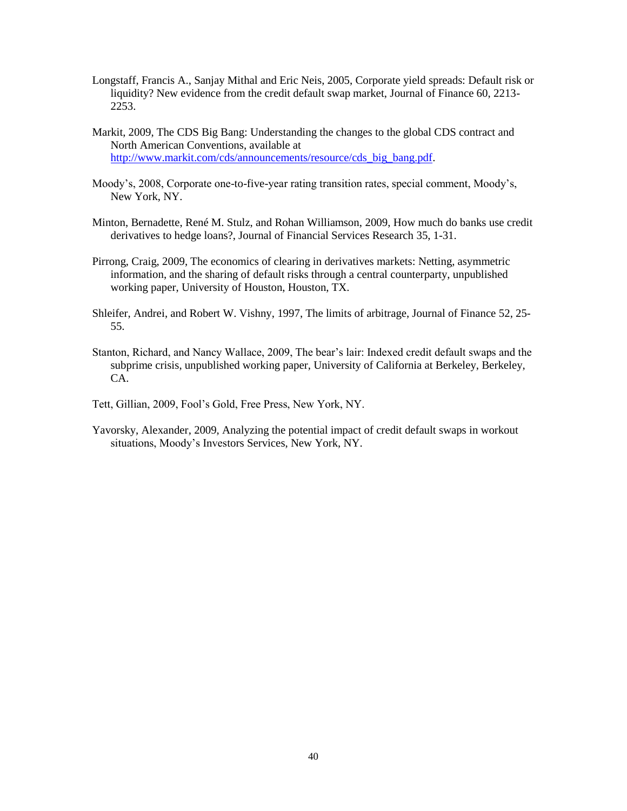- Longstaff, Francis A., Sanjay Mithal and Eric Neis, 2005, Corporate yield spreads: Default risk or liquidity? New evidence from the credit default swap market, Journal of Finance 60, 2213- 2253.
- Markit, 2009, The CDS Big Bang: Understanding the changes to the global CDS contract and North American Conventions, available at [http://www.markit.com/cds/announcements/resource/cds\\_big\\_bang.pdf.](http://www.markit.com/cds/announcements/resource/cds_big_bang.pdf)
- Moody's, 2008, Corporate one-to-five-year rating transition rates, special comment, Moody's, New York, NY.
- Minton, Bernadette, René M. Stulz, and Rohan Williamson, 2009, How much do banks use credit derivatives to hedge loans?, Journal of Financial Services Research 35, 1-31.
- Pirrong, Craig, 2009, The economics of clearing in derivatives markets: Netting, asymmetric information, and the sharing of default risks through a central counterparty, unpublished working paper, University of Houston, Houston, TX.
- Shleifer, Andrei, and Robert W. Vishny, 1997, The limits of arbitrage, Journal of Finance 52, 25- 55.
- Stanton, Richard, and Nancy Wallace, 2009, The bear's lair: Indexed credit default swaps and the subprime crisis, unpublished working paper, University of California at Berkeley, Berkeley, CA.

Tett, Gillian, 2009, Fool's Gold, Free Press, New York, NY.

Yavorsky, Alexander, 2009, Analyzing the potential impact of credit default swaps in workout situations, Moody's Investors Services, New York, NY.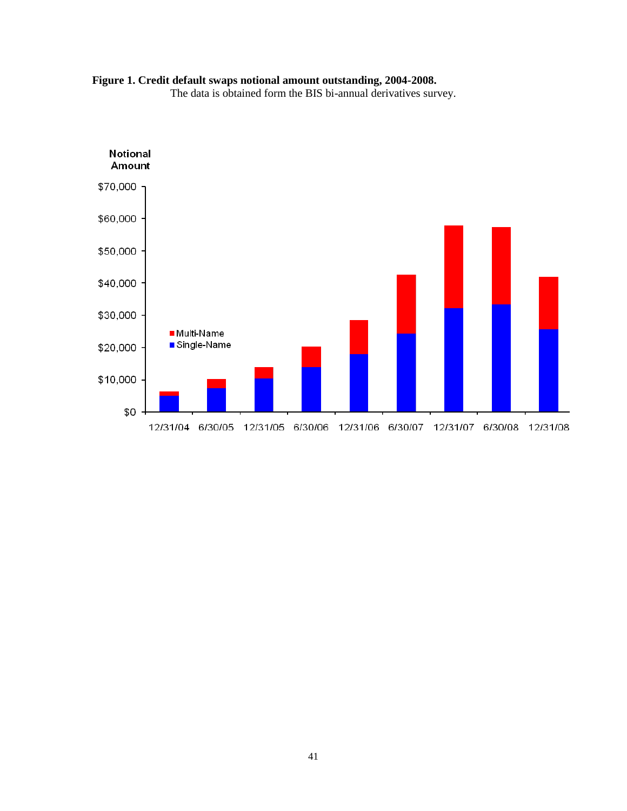

## **Figure 1. Credit default swaps notional amount outstanding, 2004-2008.** The data is obtained form the BIS bi-annual derivatives survey.